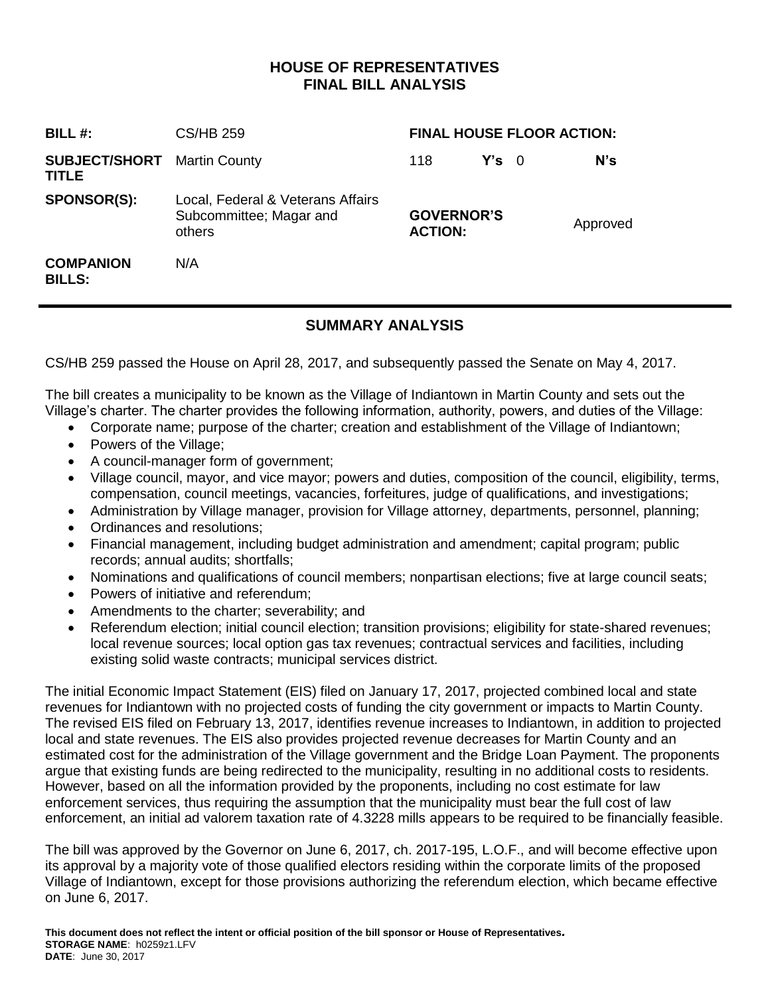# **HOUSE OF REPRESENTATIVES FINAL BILL ANALYSIS**

| BILL $#$ :                                         | CS/HB 259                                                              | <b>FINAL HOUSE FLOOR ACTION:</b>    |               |  |          |  |
|----------------------------------------------------|------------------------------------------------------------------------|-------------------------------------|---------------|--|----------|--|
| <b>SUBJECT/SHORT</b> Martin County<br><b>TITLE</b> |                                                                        | 118                                 | $Y's \quad 0$ |  | N's      |  |
| <b>SPONSOR(S):</b>                                 | Local, Federal & Veterans Affairs<br>Subcommittee; Magar and<br>others | <b>GOVERNOR'S</b><br><b>ACTION:</b> |               |  | Approved |  |
| <b>COMPANION</b><br><b>BILLS:</b>                  | N/A                                                                    |                                     |               |  |          |  |

# **SUMMARY ANALYSIS**

CS/HB 259 passed the House on April 28, 2017, and subsequently passed the Senate on May 4, 2017.

The bill creates a municipality to be known as the Village of Indiantown in Martin County and sets out the Village's charter. The charter provides the following information, authority, powers, and duties of the Village:

- Corporate name; purpose of the charter; creation and establishment of the Village of Indiantown;
- Powers of the Village;
- A council-manager form of government;
- Village council, mayor, and vice mayor; powers and duties, composition of the council, eligibility, terms, compensation, council meetings, vacancies, forfeitures, judge of qualifications, and investigations;
- Administration by Village manager, provision for Village attorney, departments, personnel, planning;
- Ordinances and resolutions;
- Financial management, including budget administration and amendment; capital program; public records; annual audits; shortfalls;
- Nominations and qualifications of council members; nonpartisan elections; five at large council seats;
- Powers of initiative and referendum;
- Amendments to the charter; severability; and
- Referendum election; initial council election; transition provisions; eligibility for state-shared revenues; local revenue sources; local option gas tax revenues; contractual services and facilities, including existing solid waste contracts; municipal services district.

The initial Economic Impact Statement (EIS) filed on January 17, 2017, projected combined local and state revenues for Indiantown with no projected costs of funding the city government or impacts to Martin County. The revised EIS filed on February 13, 2017, identifies revenue increases to Indiantown, in addition to projected local and state revenues. The EIS also provides projected revenue decreases for Martin County and an estimated cost for the administration of the Village government and the Bridge Loan Payment. The proponents argue that existing funds are being redirected to the municipality, resulting in no additional costs to residents. However, based on all the information provided by the proponents, including no cost estimate for law enforcement services, thus requiring the assumption that the municipality must bear the full cost of law enforcement, an initial ad valorem taxation rate of 4.3228 mills appears to be required to be financially feasible.

The bill was approved by the Governor on June 6, 2017, ch. 2017-195, L.O.F., and will become effective upon its approval by a majority vote of those qualified electors residing within the corporate limits of the proposed Village of Indiantown, except for those provisions authorizing the referendum election, which became effective on June 6, 2017.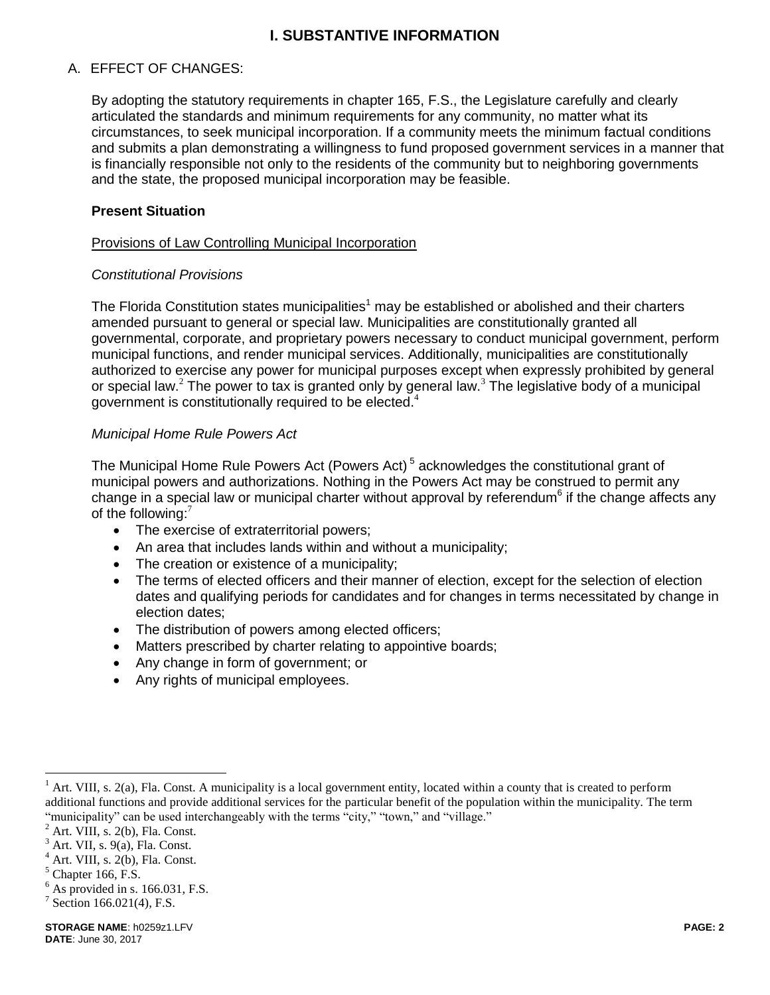# **I. SUBSTANTIVE INFORMATION**

# A. EFFECT OF CHANGES:

By adopting the statutory requirements in chapter 165, F.S., the Legislature carefully and clearly articulated the standards and minimum requirements for any community, no matter what its circumstances, to seek municipal incorporation. If a community meets the minimum factual conditions and submits a plan demonstrating a willingness to fund proposed government services in a manner that is financially responsible not only to the residents of the community but to neighboring governments and the state, the proposed municipal incorporation may be feasible.

### **Present Situation**

#### Provisions of Law Controlling Municipal Incorporation

#### *Constitutional Provisions*

The Florida Constitution states municipalities<sup>1</sup> may be established or abolished and their charters amended pursuant to general or special law. Municipalities are constitutionally granted all governmental, corporate, and proprietary powers necessary to conduct municipal government, perform municipal functions, and render municipal services. Additionally, municipalities are constitutionally authorized to exercise any power for municipal purposes except when expressly prohibited by general or special law.<sup>2</sup> The power to tax is granted only by general law.<sup>3</sup> The legislative body of a municipal government is constitutionally required to be elected.<sup>4</sup>

### *Municipal Home Rule Powers Act*

The Municipal Home Rule Powers Act (Powers Act)<sup>5</sup> acknowledges the constitutional grant of municipal powers and authorizations. Nothing in the Powers Act may be construed to permit any change in a special law or municipal charter without approval by referendum<sup>6</sup> if the change affects any of the following:<sup>7</sup>

- The exercise of extraterritorial powers;
- An area that includes lands within and without a municipality;
- The creation or existence of a municipality;
- The terms of elected officers and their manner of election, except for the selection of election dates and qualifying periods for candidates and for changes in terms necessitated by change in election dates;
- The distribution of powers among elected officers;
- Matters prescribed by charter relating to appointive boards;
- Any change in form of government; or
- Any rights of municipal employees.

Art. VIII, s. 2(a), Fla. Const. A municipality is a local government entity, located within a county that is created to perform additional functions and provide additional services for the particular benefit of the population within the municipality. The term "municipality" can be used interchangeably with the terms "city," "town," and "village."

 $2$  Art. VIII, s. 2(b), Fla. Const.

 $3$  Art. VII, s. 9(a), Fla. Const.

Art. VIII, s. 2(b), Fla. Const.

 $<sup>5</sup>$  Chapter 166, F.S.</sup>

 $<sup>6</sup>$  As provided in s. 166.031, F.S.</sup>

<sup>&</sup>lt;sup>7</sup> Section 166.021(4), F.S.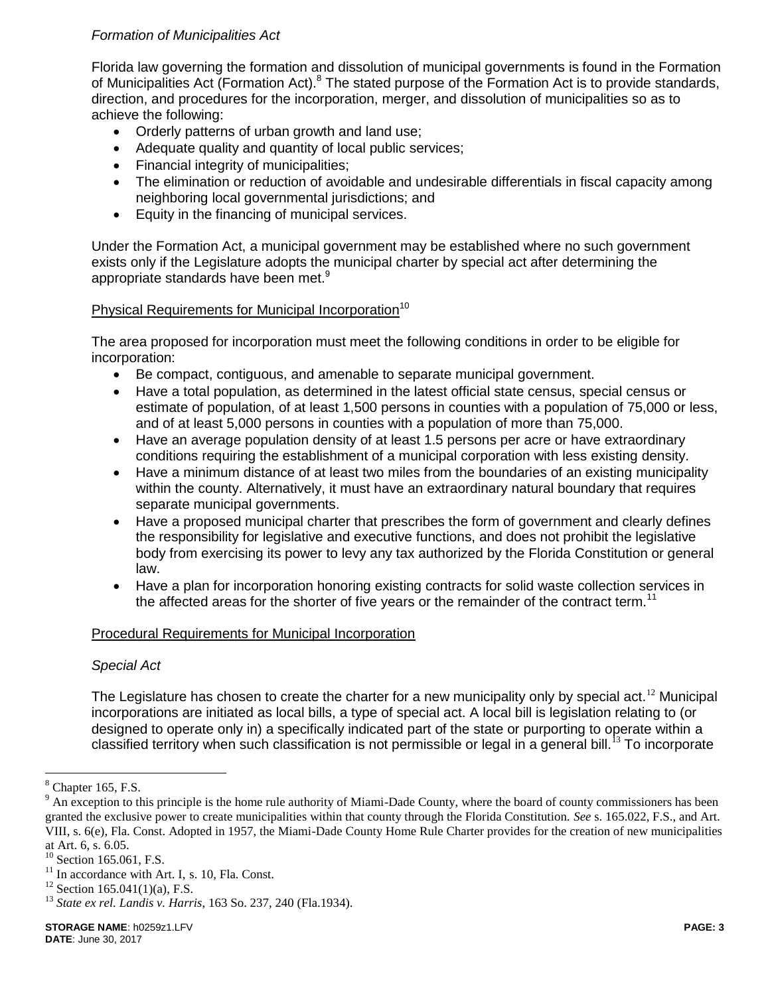# *Formation of Municipalities Act*

Florida law governing the formation and dissolution of municipal governments is found in the Formation of Municipalities Act (Formation Act).<sup>8</sup> The stated purpose of the Formation Act is to provide standards, direction, and procedures for the incorporation, merger, and dissolution of municipalities so as to achieve the following:

- Orderly patterns of urban growth and land use;
- Adequate quality and quantity of local public services;
- Financial integrity of municipalities;
- The elimination or reduction of avoidable and undesirable differentials in fiscal capacity among neighboring local governmental jurisdictions; and
- Equity in the financing of municipal services.

Under the Formation Act, a municipal government may be established where no such government exists only if the Legislature adopts the municipal charter by special act after determining the appropriate standards have been met.<sup>9</sup>

### Physical Requirements for Municipal Incorporation<sup>10</sup>

The area proposed for incorporation must meet the following conditions in order to be eligible for incorporation:

- Be compact, contiguous, and amenable to separate municipal government.
- Have a total population, as determined in the latest official state census, special census or estimate of population, of at least 1,500 persons in counties with a population of 75,000 or less, and of at least 5,000 persons in counties with a population of more than 75,000.
- Have an average population density of at least 1.5 persons per acre or have extraordinary conditions requiring the establishment of a municipal corporation with less existing density.
- Have a minimum distance of at least two miles from the boundaries of an existing municipality within the county. Alternatively, it must have an extraordinary natural boundary that requires separate municipal governments.
- Have a proposed municipal charter that prescribes the form of government and clearly defines the responsibility for legislative and executive functions, and does not prohibit the legislative body from exercising its power to levy any tax authorized by the Florida Constitution or general law.
- Have a plan for incorporation honoring existing contracts for solid waste collection services in the affected areas for the shorter of five years or the remainder of the contract term.<sup>11</sup>

# Procedural Requirements for Municipal Incorporation

#### *Special Act*

The Legislature has chosen to create the charter for a new municipality only by special act.<sup>12</sup> Municipal incorporations are initiated as local bills, a type of special act. A local bill is legislation relating to (or designed to operate only in) a specifically indicated part of the state or purporting to operate within a classified territory when such classification is not permissible or legal in a general bill.<sup>13</sup> To incorporate

 $8$  Chapter 165, F.S.

 $9$  An exception to this principle is the home rule authority of Miami-Dade County, where the board of county commissioners has been granted the exclusive power to create municipalities within that county through the Florida Constitution. *See* s. 165.022, F.S., and Art. VIII, s. 6(e), Fla. Const. Adopted in 1957, the Miami-Dade County Home Rule Charter provides for the creation of new municipalities at Art. 6, s. 6.05.

Section 165.061, F.S.

 $11$  In accordance with Art. I, s. 10, Fla. Const.

 $12$  Section 165.041(1)(a), F.S.

<sup>13</sup> *State ex rel. Landis v. Harris*, 163 So. 237, 240 (Fla.1934).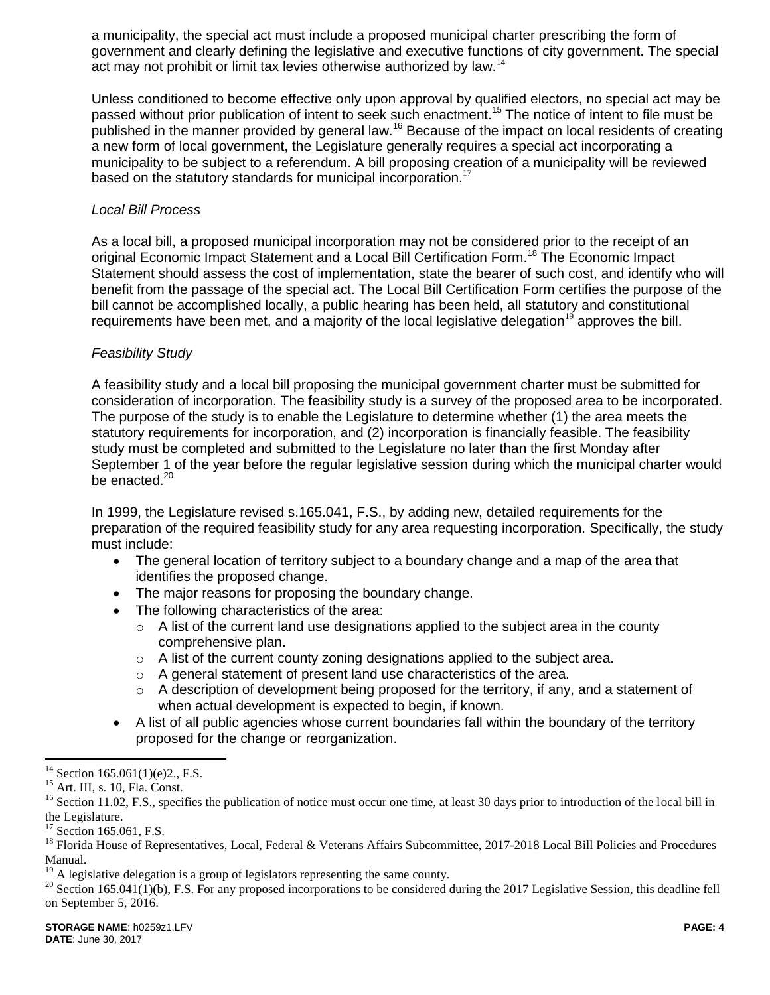a municipality, the special act must include a proposed municipal charter prescribing the form of government and clearly defining the legislative and executive functions of city government. The special act may not prohibit or limit tax levies otherwise authorized by law.<sup>14</sup>

Unless conditioned to become effective only upon approval by qualified electors, no special act may be passed without prior publication of intent to seek such enactment.<sup>15</sup> The notice of intent to file must be published in the manner provided by general law.<sup>16</sup> Because of the impact on local residents of creating a new form of local government, the Legislature generally requires a special act incorporating a municipality to be subject to a referendum. A bill proposing creation of a municipality will be reviewed based on the statutory standards for municipal incorporation.<sup>17</sup>

# *Local Bill Process*

As a local bill, a proposed municipal incorporation may not be considered prior to the receipt of an original Economic Impact Statement and a Local Bill Certification Form.<sup>18</sup> The Economic Impact Statement should assess the cost of implementation, state the bearer of such cost, and identify who will benefit from the passage of the special act. The Local Bill Certification Form certifies the purpose of the bill cannot be accomplished locally, a public hearing has been held, all statutory and constitutional requirements have been met, and a majority of the local legislative delegation<sup>19</sup> approves the bill.

### *Feasibility Study*

A feasibility study and a local bill proposing the municipal government charter must be submitted for consideration of incorporation. The feasibility study is a survey of the proposed area to be incorporated. The purpose of the study is to enable the Legislature to determine whether (1) the area meets the statutory requirements for incorporation, and (2) incorporation is financially feasible. The feasibility study must be completed and submitted to the Legislature no later than the first Monday after September 1 of the year before the regular legislative session during which the municipal charter would be enacted.<sup>20</sup>

In 1999, the Legislature revised s.165.041, F.S., by adding new, detailed requirements for the preparation of the required feasibility study for any area requesting incorporation. Specifically, the study must include:

- The general location of territory subject to a boundary change and a map of the area that identifies the proposed change.
- The major reasons for proposing the boundary change.
- The following characteristics of the area:
	- $\circ$  A list of the current land use designations applied to the subject area in the county comprehensive plan.
	- $\circ$  A list of the current county zoning designations applied to the subject area.
	- o A general statement of present land use characteristics of the area.
	- $\circ$  A description of development being proposed for the territory, if any, and a statement of when actual development is expected to begin, if known.
- A list of all public agencies whose current boundaries fall within the boundary of the territory proposed for the change or reorganization.

<sup>&</sup>lt;sup>14</sup> Section 165.061(1)(e)2., F.S.

<sup>&</sup>lt;sup>15</sup> Art. III, s. 10, Fla. Const.

<sup>&</sup>lt;sup>16</sup> Section 11.02, F.S., specifies the publication of notice must occur one time, at least 30 days prior to introduction of the local bill in the Legislature.

<sup>&</sup>lt;sup>17</sup> Section 165.061, F.S.

<sup>&</sup>lt;sup>18</sup> Florida House of Representatives, Local, Federal & Veterans Affairs Subcommittee, 2017-2018 Local Bill Policies and Procedures Manual.

<sup>19</sup> A legislative delegation is a group of legislators representing the same county.

 $20$  Section 165.041(1)(b), F.S. For any proposed incorporations to be considered during the 2017 Legislative Session, this deadline fell on September 5, 2016.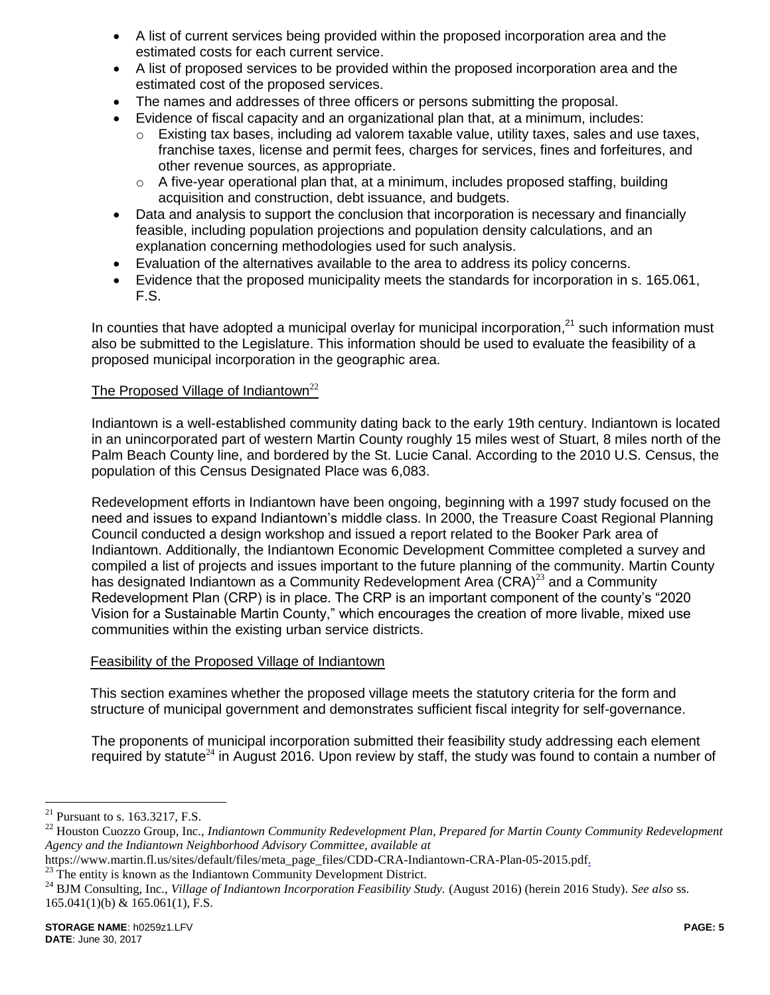- A list of current services being provided within the proposed incorporation area and the estimated costs for each current service.
- A list of proposed services to be provided within the proposed incorporation area and the estimated cost of the proposed services.
- The names and addresses of three officers or persons submitting the proposal.
- Evidence of fiscal capacity and an organizational plan that, at a minimum, includes:
	- $\circ$  Existing tax bases, including ad valorem taxable value, utility taxes, sales and use taxes, franchise taxes, license and permit fees, charges for services, fines and forfeitures, and other revenue sources, as appropriate.
	- o A five-year operational plan that, at a minimum, includes proposed staffing, building acquisition and construction, debt issuance, and budgets.
- Data and analysis to support the conclusion that incorporation is necessary and financially feasible, including population projections and population density calculations, and an explanation concerning methodologies used for such analysis.
- Evaluation of the alternatives available to the area to address its policy concerns.
- Evidence that the proposed municipality meets the standards for incorporation in s. 165.061, F.S.

In counties that have adopted a municipal overlay for municipal incorporation, $21$  such information must also be submitted to the Legislature. This information should be used to evaluate the feasibility of a proposed municipal incorporation in the geographic area.

# The Proposed Village of Indiantown $^{22}$

Indiantown is a well-established community dating back to the early 19th century. Indiantown is located in an unincorporated part of western Martin County roughly 15 miles west of Stuart, 8 miles north of the Palm Beach County line, and bordered by the St. Lucie Canal. According to the 2010 U.S. Census, the population of this Census Designated Place was 6,083.

Redevelopment efforts in Indiantown have been ongoing, beginning with a 1997 study focused on the need and issues to expand Indiantown's middle class. In 2000, the Treasure Coast Regional Planning Council conducted a design workshop and issued a report related to the Booker Park area of Indiantown. Additionally, the Indiantown Economic Development Committee completed a survey and compiled a list of projects and issues important to the future planning of the community. Martin County has designated Indiantown as a Community Redevelopment Area  $(CRA)^{23}$  and a Community Redevelopment Plan (CRP) is in place. The CRP is an important component of the county's "2020 Vision for a Sustainable Martin County," which encourages the creation of more livable, mixed use communities within the existing urban service districts.

#### Feasibility of the Proposed Village of Indiantown

This section examines whether the proposed village meets the statutory criteria for the form and structure of municipal government and demonstrates sufficient fiscal integrity for self-governance.

The proponents of municipal incorporation submitted their feasibility study addressing each element required by statute<sup>24</sup> in August 2016. Upon review by staff, the study was found to contain a number of

 $\overline{a}$ 

https://www.martin.fl.us/sites/default/files/meta\_page\_files/CDD-CRA-Indiantown-CRA-Plan-05-2015.pdf.

<sup>&</sup>lt;sup>21</sup> Pursuant to s. 163.3217, F.S.

<sup>22</sup> Houston Cuozzo Group, Inc., *Indiantown Community Redevelopment Plan, Prepared for Martin County Community Redevelopment Agency and the Indiantown Neighborhood Advisory Committee, available at* 

 $^{23}$  The entity is known as the Indiantown Community Development District.

<sup>&</sup>lt;sup>24</sup> BJM Consulting, Inc., *Village of Indiantown Incorporation Feasibility Study*. (August 2016) (herein 2016 Study). *See also* ss. 165.041(1)(b) & 165.061(1), F.S.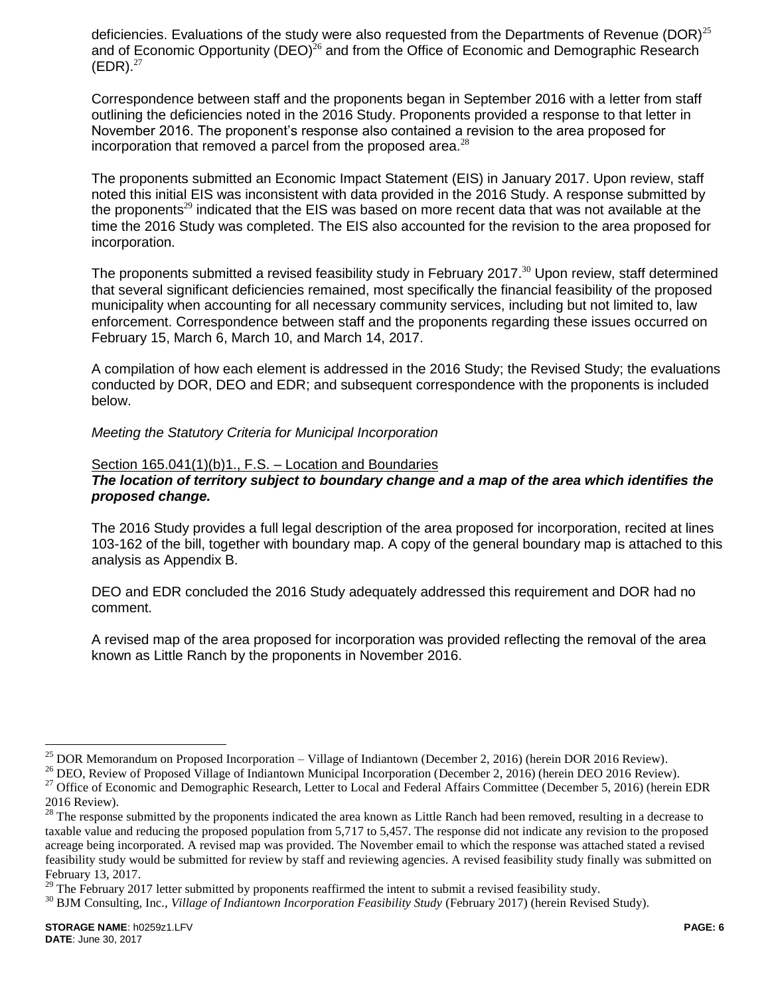deficiencies. Evaluations of the study were also requested from the Departments of Revenue (DOR)<sup>25</sup> and of Economic Opportunity (DEO)<sup>26</sup> and from the Office of Economic and Demographic Research  $(EDR).^{27}$ 

Correspondence between staff and the proponents began in September 2016 with a letter from staff outlining the deficiencies noted in the 2016 Study. Proponents provided a response to that letter in November 2016. The proponent's response also contained a revision to the area proposed for incorporation that removed a parcel from the proposed area. $^{28}$ 

The proponents submitted an Economic Impact Statement (EIS) in January 2017. Upon review, staff noted this initial EIS was inconsistent with data provided in the 2016 Study. A response submitted by the proponents<sup>29</sup> indicated that the EIS was based on more recent data that was not available at the time the 2016 Study was completed. The EIS also accounted for the revision to the area proposed for incorporation.

The proponents submitted a revised feasibility study in February 2017.<sup>30</sup> Upon review, staff determined that several significant deficiencies remained, most specifically the financial feasibility of the proposed municipality when accounting for all necessary community services, including but not limited to, law enforcement. Correspondence between staff and the proponents regarding these issues occurred on February 15, March 6, March 10, and March 14, 2017.

A compilation of how each element is addressed in the 2016 Study; the Revised Study; the evaluations conducted by DOR, DEO and EDR; and subsequent correspondence with the proponents is included below.

*Meeting the Statutory Criteria for Municipal Incorporation*

#### Section 165.041(1)(b)1., F.S. – Location and Boundaries

#### *The location of territory subject to boundary change and a map of the area which identifies the proposed change.*

The 2016 Study provides a full legal description of the area proposed for incorporation, recited at lines 103-162 of the bill, together with boundary map. A copy of the general boundary map is attached to this analysis as Appendix B.

DEO and EDR concluded the 2016 Study adequately addressed this requirement and DOR had no comment.

A revised map of the area proposed for incorporation was provided reflecting the removal of the area known as Little Ranch by the proponents in November 2016.

<sup>&</sup>lt;sup>25</sup> DOR Memorandum on Proposed Incorporation – Village of Indiantown (December 2, 2016) (herein DOR 2016 Review).

<sup>&</sup>lt;sup>26</sup> DEO, Review of Proposed Village of Indiantown Municipal Incorporation (December 2, 2016) (herein DEO 2016 Review).

<sup>&</sup>lt;sup>27</sup> Office of Economic and Demographic Research, Letter to Local and Federal Affairs Committee (December 5, 2016) (herein EDR 2016 Review).

<sup>&</sup>lt;sup>28</sup> The response submitted by the proponents indicated the area known as Little Ranch had been removed, resulting in a decrease to taxable value and reducing the proposed population from 5,717 to 5,457. The response did not indicate any revision to the proposed acreage being incorporated. A revised map was provided. The November email to which the response was attached stated a revised feasibility study would be submitted for review by staff and reviewing agencies. A revised feasibility study finally was submitted on February 13, 2017.

 $29$  The February 2017 letter submitted by proponents reaffirmed the intent to submit a revised feasibility study.

<sup>&</sup>lt;sup>30</sup> BJM Consulting, Inc., *Village of Indiantown Incorporation Feasibility Study* (February 2017) (herein Revised Study).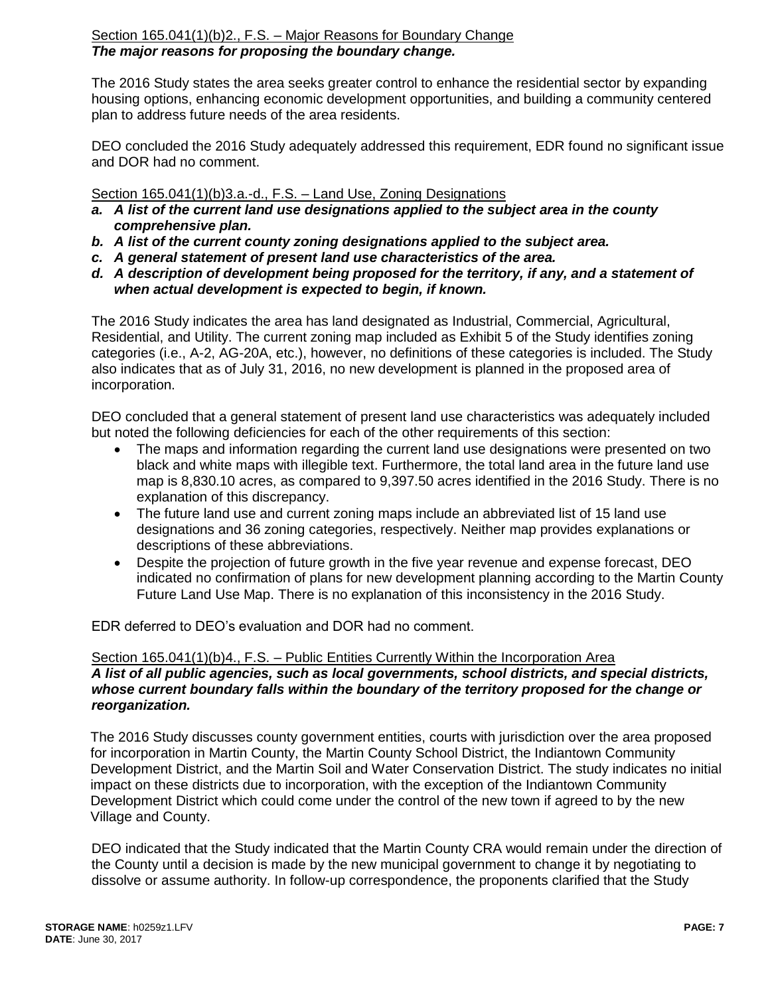The 2016 Study states the area seeks greater control to enhance the residential sector by expanding housing options, enhancing economic development opportunities, and building a community centered plan to address future needs of the area residents.

DEO concluded the 2016 Study adequately addressed this requirement, EDR found no significant issue and DOR had no comment.

# Section 165.041(1)(b)3.a.-d., F.S. – Land Use, Zoning Designations

- *a. A list of the current land use designations applied to the subject area in the county comprehensive plan.*
- *b. A list of the current county zoning designations applied to the subject area.*
- *c. A general statement of present land use characteristics of the area.*
- *d. A description of development being proposed for the territory, if any, and a statement of when actual development is expected to begin, if known.*

The 2016 Study indicates the area has land designated as Industrial, Commercial, Agricultural, Residential, and Utility. The current zoning map included as Exhibit 5 of the Study identifies zoning categories (i.e., A-2, AG-20A, etc.), however, no definitions of these categories is included. The Study also indicates that as of July 31, 2016, no new development is planned in the proposed area of incorporation.

DEO concluded that a general statement of present land use characteristics was adequately included but noted the following deficiencies for each of the other requirements of this section:

- The maps and information regarding the current land use designations were presented on two black and white maps with illegible text. Furthermore, the total land area in the future land use map is 8,830.10 acres, as compared to 9,397.50 acres identified in the 2016 Study. There is no explanation of this discrepancy.
- The future land use and current zoning maps include an abbreviated list of 15 land use designations and 36 zoning categories, respectively. Neither map provides explanations or descriptions of these abbreviations.
- Despite the projection of future growth in the five year revenue and expense forecast, DEO indicated no confirmation of plans for new development planning according to the Martin County Future Land Use Map. There is no explanation of this inconsistency in the 2016 Study.

EDR deferred to DEO's evaluation and DOR had no comment.

# Section 165.041(1)(b)4., F.S. – Public Entities Currently Within the Incorporation Area *A list of all public agencies, such as local governments, school districts, and special districts, whose current boundary falls within the boundary of the territory proposed for the change or reorganization.*

The 2016 Study discusses county government entities, courts with jurisdiction over the area proposed for incorporation in Martin County, the Martin County School District, the Indiantown Community Development District, and the Martin Soil and Water Conservation District. The study indicates no initial impact on these districts due to incorporation, with the exception of the Indiantown Community Development District which could come under the control of the new town if agreed to by the new Village and County.

DEO indicated that the Study indicated that the Martin County CRA would remain under the direction of the County until a decision is made by the new municipal government to change it by negotiating to dissolve or assume authority. In follow-up correspondence, the proponents clarified that the Study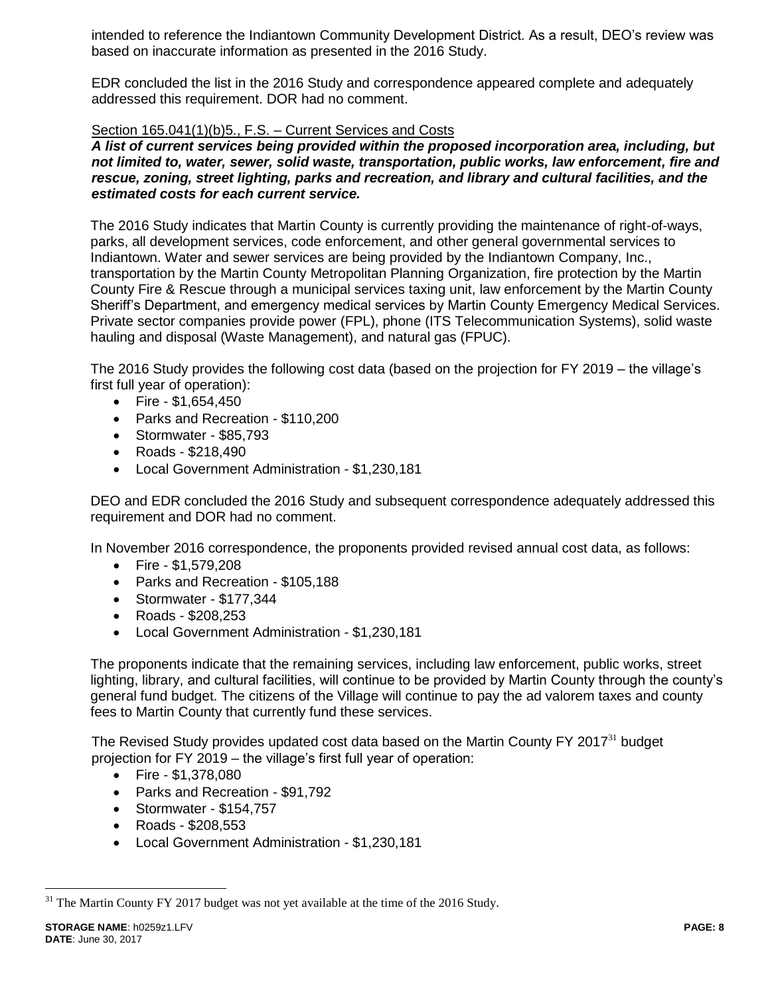intended to reference the Indiantown Community Development District. As a result, DEO's review was based on inaccurate information as presented in the 2016 Study.

EDR concluded the list in the 2016 Study and correspondence appeared complete and adequately addressed this requirement. DOR had no comment.

### Section 165.041(1)(b)5., F.S. – Current Services and Costs

*A list of current services being provided within the proposed incorporation area, including, but not limited to, water, sewer, solid waste, transportation, public works, law enforcement, fire and rescue, zoning, street lighting, parks and recreation, and library and cultural facilities, and the estimated costs for each current service.*

The 2016 Study indicates that Martin County is currently providing the maintenance of right-of-ways, parks, all development services, code enforcement, and other general governmental services to Indiantown. Water and sewer services are being provided by the Indiantown Company, Inc., transportation by the Martin County Metropolitan Planning Organization, fire protection by the Martin County Fire & Rescue through a municipal services taxing unit, law enforcement by the Martin County Sheriff's Department, and emergency medical services by Martin County Emergency Medical Services. Private sector companies provide power (FPL), phone (ITS Telecommunication Systems), solid waste hauling and disposal (Waste Management), and natural gas (FPUC).

The 2016 Study provides the following cost data (based on the projection for FY 2019 – the village's first full year of operation):

- $\bullet$  Fire \$1,654,450
- Parks and Recreation \$110,200
- Stormwater \$85,793
- Roads \$218,490
- Local Government Administration \$1,230,181

DEO and EDR concluded the 2016 Study and subsequent correspondence adequately addressed this requirement and DOR had no comment.

In November 2016 correspondence, the proponents provided revised annual cost data, as follows:

- Fire \$1,579,208
- Parks and Recreation \$105,188
- Stormwater \$177,344
- Roads \$208,253
- Local Government Administration \$1,230,181

The proponents indicate that the remaining services, including law enforcement, public works, street lighting, library, and cultural facilities, will continue to be provided by Martin County through the county's general fund budget. The citizens of the Village will continue to pay the ad valorem taxes and county fees to Martin County that currently fund these services.

The Revised Study provides updated cost data based on the Martin County FY 2017 $31$  budget projection for FY 2019 – the village's first full year of operation:

- $\bullet$  Fire \$1,378,080
- Parks and Recreation \$91,792
- Stormwater \$154,757
- Roads \$208,553
- Local Government Administration \$1,230,181

 $31$  The Martin County FY 2017 budget was not yet available at the time of the 2016 Study.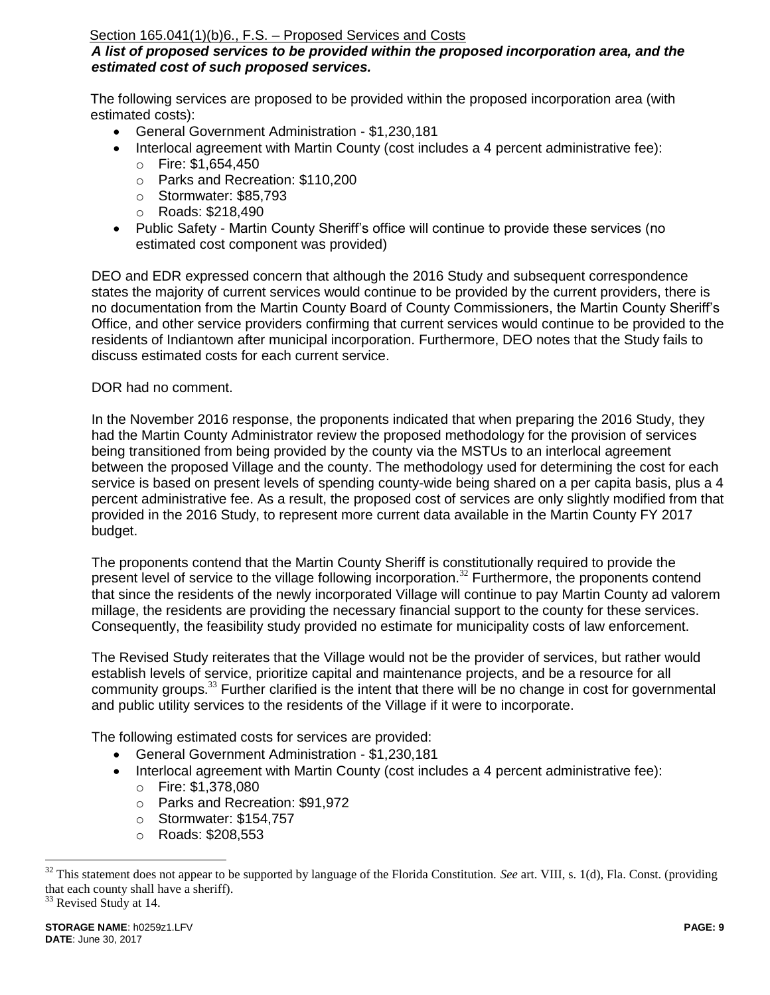# Section 165.041(1)(b)6., F.S. – Proposed Services and Costs

# *A list of proposed services to be provided within the proposed incorporation area, and the estimated cost of such proposed services.*

The following services are proposed to be provided within the proposed incorporation area (with estimated costs):

- General Government Administration \$1,230,181
- Interlocal agreement with Martin County (cost includes a 4 percent administrative fee):
	- o Fire: \$1,654,450
	- o Parks and Recreation: \$110,200
	- o Stormwater: \$85,793
	- o Roads: \$218,490
- Public Safety Martin County Sheriff's office will continue to provide these services (no estimated cost component was provided)

DEO and EDR expressed concern that although the 2016 Study and subsequent correspondence states the majority of current services would continue to be provided by the current providers, there is no documentation from the Martin County Board of County Commissioners, the Martin County Sheriff's Office, and other service providers confirming that current services would continue to be provided to the residents of Indiantown after municipal incorporation. Furthermore, DEO notes that the Study fails to discuss estimated costs for each current service.

# DOR had no comment.

In the November 2016 response, the proponents indicated that when preparing the 2016 Study, they had the Martin County Administrator review the proposed methodology for the provision of services being transitioned from being provided by the county via the MSTUs to an interlocal agreement between the proposed Village and the county. The methodology used for determining the cost for each service is based on present levels of spending county-wide being shared on a per capita basis, plus a 4 percent administrative fee. As a result, the proposed cost of services are only slightly modified from that provided in the 2016 Study, to represent more current data available in the Martin County FY 2017 budget.

The proponents contend that the Martin County Sheriff is constitutionally required to provide the present level of service to the village following incorporation.<sup>32</sup> Furthermore, the proponents contend that since the residents of the newly incorporated Village will continue to pay Martin County ad valorem millage, the residents are providing the necessary financial support to the county for these services. Consequently, the feasibility study provided no estimate for municipality costs of law enforcement.

The Revised Study reiterates that the Village would not be the provider of services, but rather would establish levels of service, prioritize capital and maintenance projects, and be a resource for all community groups.<sup>33</sup> Further clarified is the intent that there will be no change in cost for governmental and public utility services to the residents of the Village if it were to incorporate.

The following estimated costs for services are provided:

- General Government Administration \$1,230,181
- Interlocal agreement with Martin County (cost includes a 4 percent administrative fee):
	- o Fire: \$1,378,080
	- o Parks and Recreation: \$91,972
	- o Stormwater: \$154,757
	- o Roads: \$208,553

<sup>33</sup> Revised Study at 14.

<sup>32</sup> This statement does not appear to be supported by language of the Florida Constitution. *See* art. VIII, s. 1(d), Fla. Const. (providing that each county shall have a sheriff).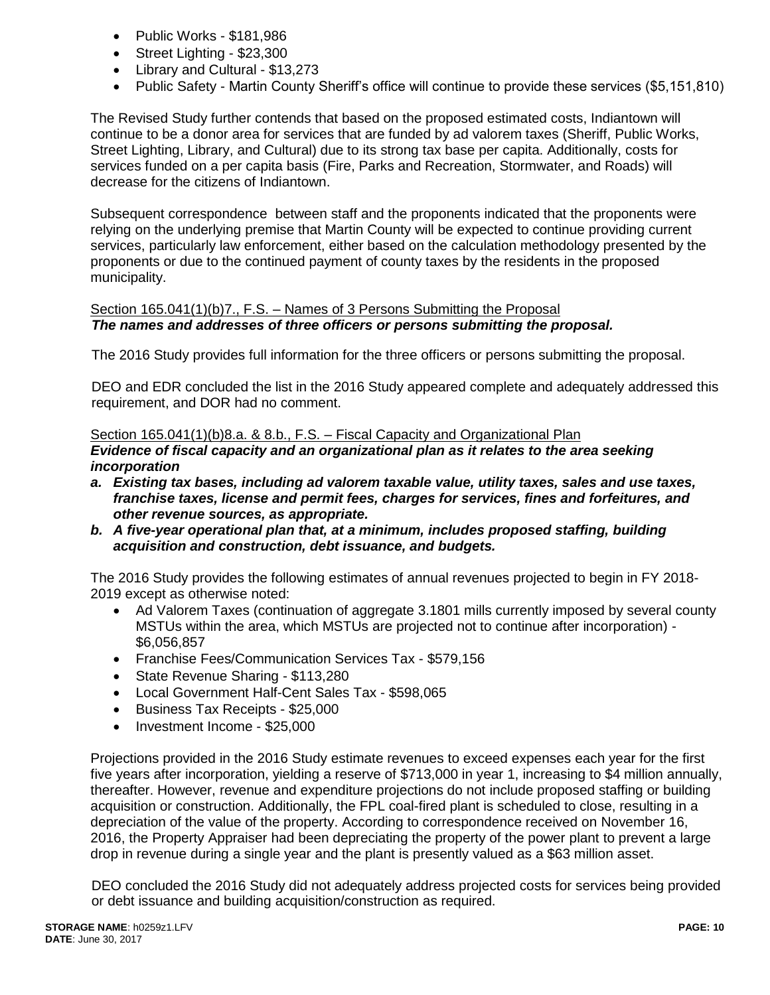- Public Works \$181,986
- Street Lighting \$23,300
- Library and Cultural \$13,273
- Public Safety Martin County Sheriff's office will continue to provide these services (\$5,151,810)

The Revised Study further contends that based on the proposed estimated costs, Indiantown will continue to be a donor area for services that are funded by ad valorem taxes (Sheriff, Public Works, Street Lighting, Library, and Cultural) due to its strong tax base per capita. Additionally, costs for services funded on a per capita basis (Fire, Parks and Recreation, Stormwater, and Roads) will decrease for the citizens of Indiantown.

Subsequent correspondence between staff and the proponents indicated that the proponents were relying on the underlying premise that Martin County will be expected to continue providing current services, particularly law enforcement, either based on the calculation methodology presented by the proponents or due to the continued payment of county taxes by the residents in the proposed municipality.

#### Section 165.041(1)(b)7., F.S. – Names of 3 Persons Submitting the Proposal *The names and addresses of three officers or persons submitting the proposal.*

The 2016 Study provides full information for the three officers or persons submitting the proposal.

DEO and EDR concluded the list in the 2016 Study appeared complete and adequately addressed this requirement, and DOR had no comment.

### Section 165.041(1)(b)8.a. & 8.b., F.S. – Fiscal Capacity and Organizational Plan

*Evidence of fiscal capacity and an organizational plan as it relates to the area seeking incorporation*

- *a. Existing tax bases, including ad valorem taxable value, utility taxes, sales and use taxes, franchise taxes, license and permit fees, charges for services, fines and forfeitures, and other revenue sources, as appropriate.*
- *b. A five-year operational plan that, at a minimum, includes proposed staffing, building acquisition and construction, debt issuance, and budgets.*

The 2016 Study provides the following estimates of annual revenues projected to begin in FY 2018- 2019 except as otherwise noted:

- Ad Valorem Taxes (continuation of aggregate 3.1801 mills currently imposed by several county MSTUs within the area, which MSTUs are projected not to continue after incorporation) - \$6,056,857
- Franchise Fees/Communication Services Tax \$579,156
- State Revenue Sharing \$113,280
- Local Government Half-Cent Sales Tax \$598,065
- Business Tax Receipts \$25,000
- Investment Income \$25,000

Projections provided in the 2016 Study estimate revenues to exceed expenses each year for the first five years after incorporation, yielding a reserve of \$713,000 in year 1, increasing to \$4 million annually, thereafter. However, revenue and expenditure projections do not include proposed staffing or building acquisition or construction. Additionally, the FPL coal-fired plant is scheduled to close, resulting in a depreciation of the value of the property. According to correspondence received on November 16, 2016, the Property Appraiser had been depreciating the property of the power plant to prevent a large drop in revenue during a single year and the plant is presently valued as a \$63 million asset.

DEO concluded the 2016 Study did not adequately address projected costs for services being provided or debt issuance and building acquisition/construction as required.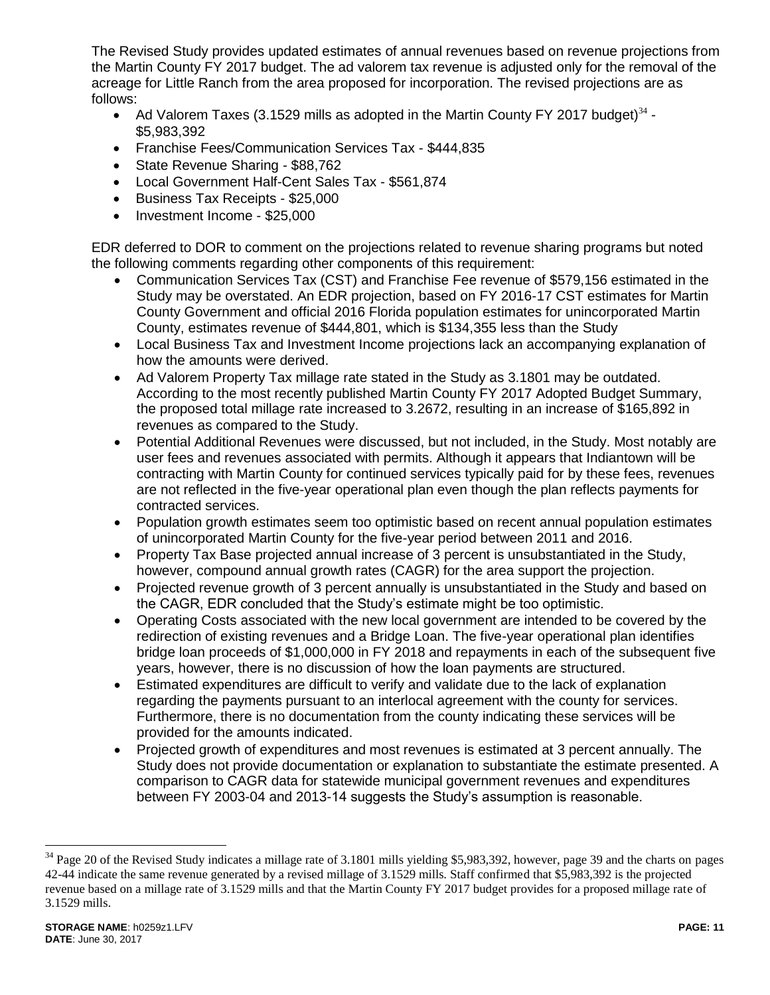The Revised Study provides updated estimates of annual revenues based on revenue projections from the Martin County FY 2017 budget. The ad valorem tax revenue is adjusted only for the removal of the acreage for Little Ranch from the area proposed for incorporation. The revised projections are as follows:

- Ad Valorem Taxes (3.1529 mills as adopted in the Martin County FY 2017 budget)<sup>34</sup> -\$5,983,392
- Franchise Fees/Communication Services Tax \$444,835
- State Revenue Sharing \$88,762
- Local Government Half-Cent Sales Tax \$561,874
- Business Tax Receipts \$25,000
- Investment Income \$25,000

EDR deferred to DOR to comment on the projections related to revenue sharing programs but noted the following comments regarding other components of this requirement:

- Communication Services Tax (CST) and Franchise Fee revenue of \$579,156 estimated in the Study may be overstated. An EDR projection, based on FY 2016-17 CST estimates for Martin County Government and official 2016 Florida population estimates for unincorporated Martin County, estimates revenue of \$444,801, which is \$134,355 less than the Study
- Local Business Tax and Investment Income projections lack an accompanying explanation of how the amounts were derived.
- Ad Valorem Property Tax millage rate stated in the Study as 3.1801 may be outdated. According to the most recently published Martin County FY 2017 Adopted Budget Summary, the proposed total millage rate increased to 3.2672, resulting in an increase of \$165,892 in revenues as compared to the Study.
- Potential Additional Revenues were discussed, but not included, in the Study. Most notably are user fees and revenues associated with permits. Although it appears that Indiantown will be contracting with Martin County for continued services typically paid for by these fees, revenues are not reflected in the five-year operational plan even though the plan reflects payments for contracted services.
- Population growth estimates seem too optimistic based on recent annual population estimates of unincorporated Martin County for the five-year period between 2011 and 2016.
- Property Tax Base projected annual increase of 3 percent is unsubstantiated in the Study, however, compound annual growth rates (CAGR) for the area support the projection.
- Projected revenue growth of 3 percent annually is unsubstantiated in the Study and based on the CAGR, EDR concluded that the Study's estimate might be too optimistic.
- Operating Costs associated with the new local government are intended to be covered by the redirection of existing revenues and a Bridge Loan. The five-year operational plan identifies bridge loan proceeds of \$1,000,000 in FY 2018 and repayments in each of the subsequent five years, however, there is no discussion of how the loan payments are structured.
- Estimated expenditures are difficult to verify and validate due to the lack of explanation regarding the payments pursuant to an interlocal agreement with the county for services. Furthermore, there is no documentation from the county indicating these services will be provided for the amounts indicated.
- Projected growth of expenditures and most revenues is estimated at 3 percent annually. The Study does not provide documentation or explanation to substantiate the estimate presented. A comparison to CAGR data for statewide municipal government revenues and expenditures between FY 2003-04 and 2013-14 suggests the Study's assumption is reasonable.

<sup>&</sup>lt;sup>34</sup> Page 20 of the Revised Study indicates a millage rate of 3.1801 mills yielding \$5,983,392, however, page 39 and the charts on pages 42-44 indicate the same revenue generated by a revised millage of 3.1529 mills. Staff confirmed that \$5,983,392 is the projected revenue based on a millage rate of 3.1529 mills and that the Martin County FY 2017 budget provides for a proposed millage rate of 3.1529 mills.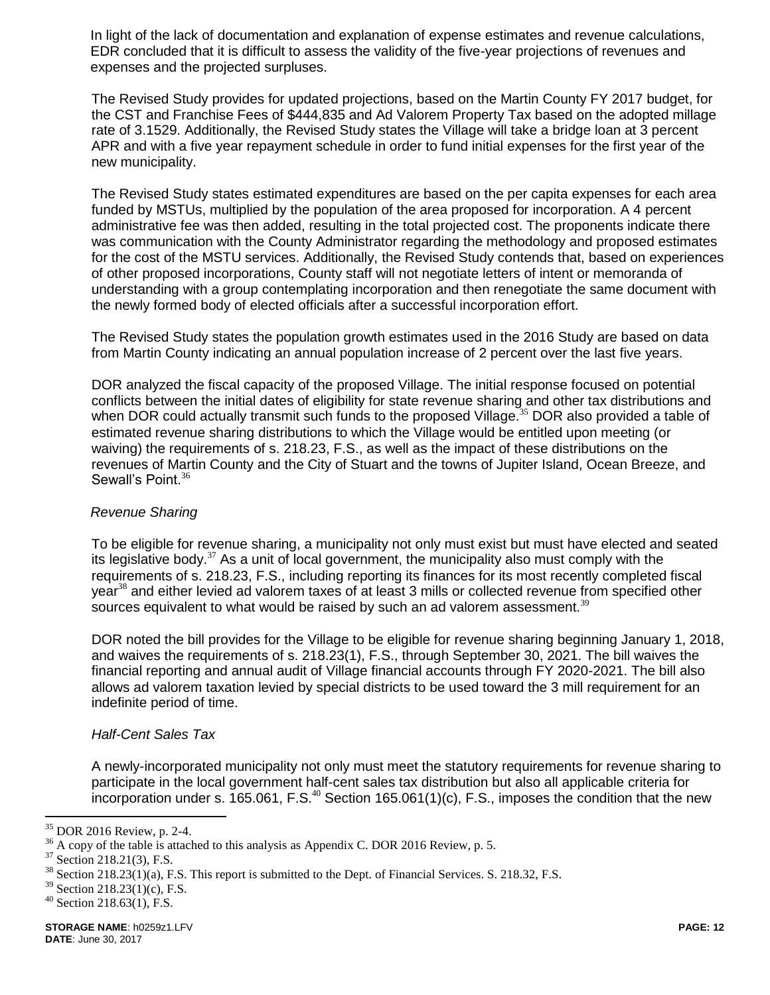In light of the lack of documentation and explanation of expense estimates and revenue calculations, EDR concluded that it is difficult to assess the validity of the five-year projections of revenues and expenses and the projected surpluses.

The Revised Study provides for updated projections, based on the Martin County FY 2017 budget, for the CST and Franchise Fees of \$444,835 and Ad Valorem Property Tax based on the adopted millage rate of 3.1529. Additionally, the Revised Study states the Village will take a bridge loan at 3 percent APR and with a five year repayment schedule in order to fund initial expenses for the first year of the new municipality.

The Revised Study states estimated expenditures are based on the per capita expenses for each area funded by MSTUs, multiplied by the population of the area proposed for incorporation. A 4 percent administrative fee was then added, resulting in the total projected cost. The proponents indicate there was communication with the County Administrator regarding the methodology and proposed estimates for the cost of the MSTU services. Additionally, the Revised Study contends that, based on experiences of other proposed incorporations, County staff will not negotiate letters of intent or memoranda of understanding with a group contemplating incorporation and then renegotiate the same document with the newly formed body of elected officials after a successful incorporation effort.

The Revised Study states the population growth estimates used in the 2016 Study are based on data from Martin County indicating an annual population increase of 2 percent over the last five years.

DOR analyzed the fiscal capacity of the proposed Village. The initial response focused on potential conflicts between the initial dates of eligibility for state revenue sharing and other tax distributions and when DOR could actually transmit such funds to the proposed Village.<sup>35</sup> DOR also provided a table of estimated revenue sharing distributions to which the Village would be entitled upon meeting (or waiving) the requirements of s. 218.23, F.S., as well as the impact of these distributions on the revenues of Martin County and the City of Stuart and the towns of Jupiter Island, Ocean Breeze, and Sewall's Point. $36$ 

# *Revenue Sharing*

To be eligible for revenue sharing, a municipality not only must exist but must have elected and seated its legislative body. $37$  As a unit of local government, the municipality also must comply with the requirements of s. 218.23, F.S., including reporting its finances for its most recently completed fiscal year<sup>38</sup> and either levied ad valorem taxes of at least 3 mills or collected revenue from specified other sources equivalent to what would be raised by such an ad valorem assessment. $39$ 

DOR noted the bill provides for the Village to be eligible for revenue sharing beginning January 1, 2018, and waives the requirements of s. 218.23(1), F.S., through September 30, 2021. The bill waives the financial reporting and annual audit of Village financial accounts through FY 2020-2021. The bill also allows ad valorem taxation levied by special districts to be used toward the 3 mill requirement for an indefinite period of time.

#### *Half-Cent Sales Tax*

A newly-incorporated municipality not only must meet the statutory requirements for revenue sharing to participate in the local government half-cent sales tax distribution but also all applicable criteria for incorporation under s.  $165.061$ , F.S.<sup>40</sup> Section 165.061(1)(c), F.S., imposes the condition that the new

 $35$  DOR 2016 Review, p. 2-4.

<sup>&</sup>lt;sup>36</sup> A copy of the table is attached to this analysis as Appendix C. DOR 2016 Review, p. 5.<br><sup>37</sup> Section 218 21(3) E S

Section 218.21(3), F.S.

 $38$  Section 218.23(1)(a), F.S. This report is submitted to the Dept. of Financial Services. S. 218.32, F.S.

<sup>39</sup> Section 218.23(1)(c), F.S.

 $40$  Section 218.63(1), F.S.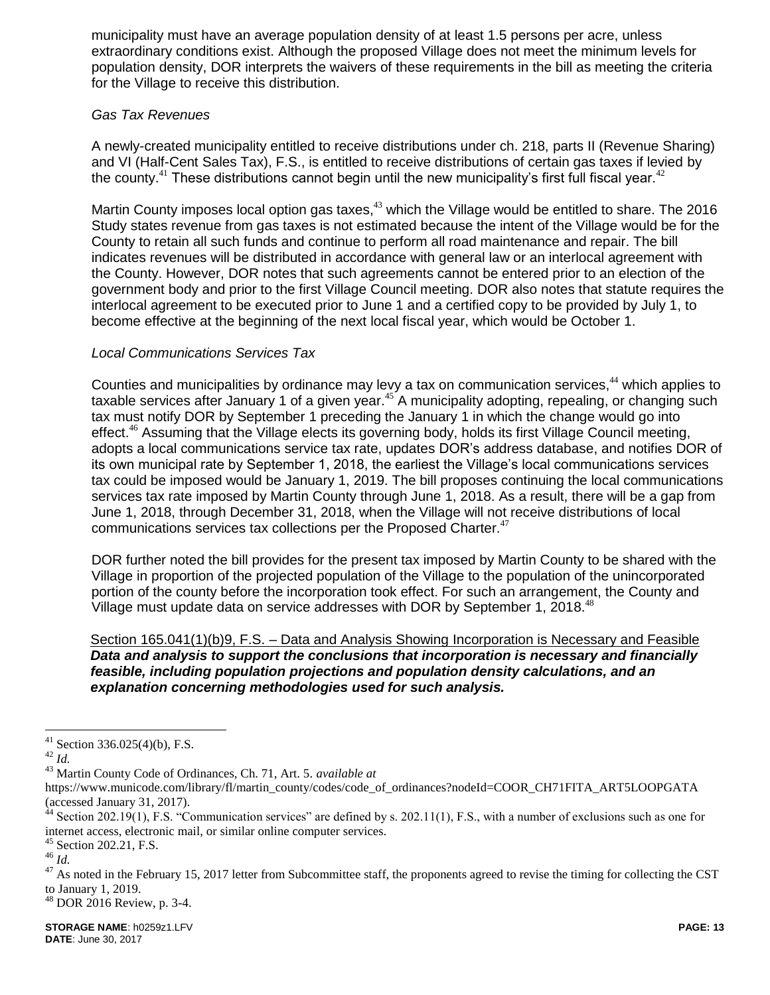municipality must have an average population density of at least 1.5 persons per acre, unless extraordinary conditions exist. Although the proposed Village does not meet the minimum levels for population density, DOR interprets the waivers of these requirements in the bill as meeting the criteria for the Village to receive this distribution.

### *Gas Tax Revenues*

A newly-created municipality entitled to receive distributions under ch. 218, parts II (Revenue Sharing) and VI (Half-Cent Sales Tax), F.S., is entitled to receive distributions of certain gas taxes if levied by the county.<sup>41</sup> These distributions cannot begin until the new municipality's first full fiscal year.<sup>42</sup>

Martin County imposes local option gas taxes,<sup>43</sup> which the Village would be entitled to share. The 2016 Study states revenue from gas taxes is not estimated because the intent of the Village would be for the County to retain all such funds and continue to perform all road maintenance and repair. The bill indicates revenues will be distributed in accordance with general law or an interlocal agreement with the County. However, DOR notes that such agreements cannot be entered prior to an election of the government body and prior to the first Village Council meeting. DOR also notes that statute requires the interlocal agreement to be executed prior to June 1 and a certified copy to be provided by July 1, to become effective at the beginning of the next local fiscal year, which would be October 1.

# *Local Communications Services Tax*

Counties and municipalities by ordinance may levy a tax on communication services,<sup>44</sup> which applies to taxable services after January 1 of a given year.<sup>45</sup> A municipality adopting, repealing, or changing such tax must notify DOR by September 1 preceding the January 1 in which the change would go into effect.<sup>46</sup> Assuming that the Village elects its governing body, holds its first Village Council meeting, adopts a local communications service tax rate, updates DOR's address database, and notifies DOR of its own municipal rate by September 1, 2018, the earliest the Village's local communications services tax could be imposed would be January 1, 2019. The bill proposes continuing the local communications services tax rate imposed by Martin County through June 1, 2018. As a result, there will be a gap from June 1, 2018, through December 31, 2018, when the Village will not receive distributions of local communications services tax collections per the Proposed Charter. $47$ 

DOR further noted the bill provides for the present tax imposed by Martin County to be shared with the Village in proportion of the projected population of the Village to the population of the unincorporated portion of the county before the incorporation took effect. For such an arrangement, the County and Village must update data on service addresses with DOR by September 1, 2018.<sup>48</sup>

Section 165.041(1)(b)9, F.S. – Data and Analysis Showing Incorporation is Necessary and Feasible *Data and analysis to support the conclusions that incorporation is necessary and financially feasible, including population projections and population density calculations, and an explanation concerning methodologies used for such analysis.*

 $\overline{a}$ 

 $48$  DOR 2016 Review, p. 3-4.

 $41$  Section 336.025(4)(b), F.S.

<sup>42</sup> *Id.*

<sup>43</sup> Martin County Code of Ordinances, Ch. 71, Art. 5. *available at*

https://www.municode.com/library/fl/martin\_county/codes/code\_of\_ordinances?nodeId=COOR\_CH71FITA\_ART5LOOPGATA (accessed January 31, 2017).

 $44$  Section 202.19(1), F.S. "Communication services" are defined by s. 202.11(1), F.S., with a number of exclusions such as one for internet access, electronic mail, or similar online computer services.

<sup>45</sup> Section 202.21, F.S.

<sup>46</sup> *Id.*

 $47$  As noted in the February 15, 2017 letter from Subcommittee staff, the proponents agreed to revise the timing for collecting the CST to January 1, 2019.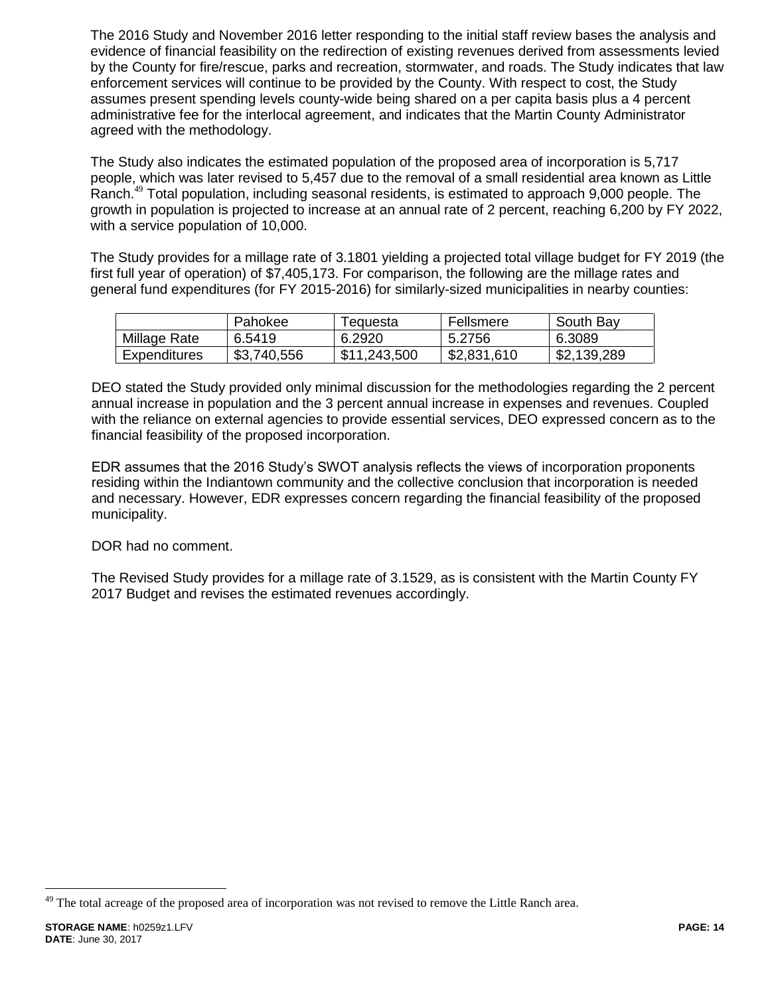The 2016 Study and November 2016 letter responding to the initial staff review bases the analysis and evidence of financial feasibility on the redirection of existing revenues derived from assessments levied by the County for fire/rescue, parks and recreation, stormwater, and roads. The Study indicates that law enforcement services will continue to be provided by the County. With respect to cost, the Study assumes present spending levels county-wide being shared on a per capita basis plus a 4 percent administrative fee for the interlocal agreement, and indicates that the Martin County Administrator agreed with the methodology.

The Study also indicates the estimated population of the proposed area of incorporation is 5,717 people, which was later revised to 5,457 due to the removal of a small residential area known as Little Ranch.<sup>49</sup> Total population, including seasonal residents, is estimated to approach 9,000 people. The growth in population is projected to increase at an annual rate of 2 percent, reaching 6,200 by FY 2022, with a service population of 10,000.

The Study provides for a millage rate of 3.1801 yielding a projected total village budget for FY 2019 (the first full year of operation) of \$7,405,173. For comparison, the following are the millage rates and general fund expenditures (for FY 2015-2016) for similarly-sized municipalities in nearby counties:

|              | Pahokee     | ⊺eɑuesta     | Fellsmere   | South Bay   |
|--------------|-------------|--------------|-------------|-------------|
| Millage Rate | 6.5419      | 6.2920       | 5.2756      | 6.3089      |
| Expenditures | \$3,740,556 | \$11,243,500 | \$2,831,610 | \$2,139,289 |

DEO stated the Study provided only minimal discussion for the methodologies regarding the 2 percent annual increase in population and the 3 percent annual increase in expenses and revenues. Coupled with the reliance on external agencies to provide essential services, DEO expressed concern as to the financial feasibility of the proposed incorporation.

EDR assumes that the 2016 Study's SWOT analysis reflects the views of incorporation proponents residing within the Indiantown community and the collective conclusion that incorporation is needed and necessary. However, EDR expresses concern regarding the financial feasibility of the proposed municipality.

# DOR had no comment.

The Revised Study provides for a millage rate of 3.1529, as is consistent with the Martin County FY 2017 Budget and revises the estimated revenues accordingly.

<sup>&</sup>lt;sup>49</sup> The total acreage of the proposed area of incorporation was not revised to remove the Little Ranch area.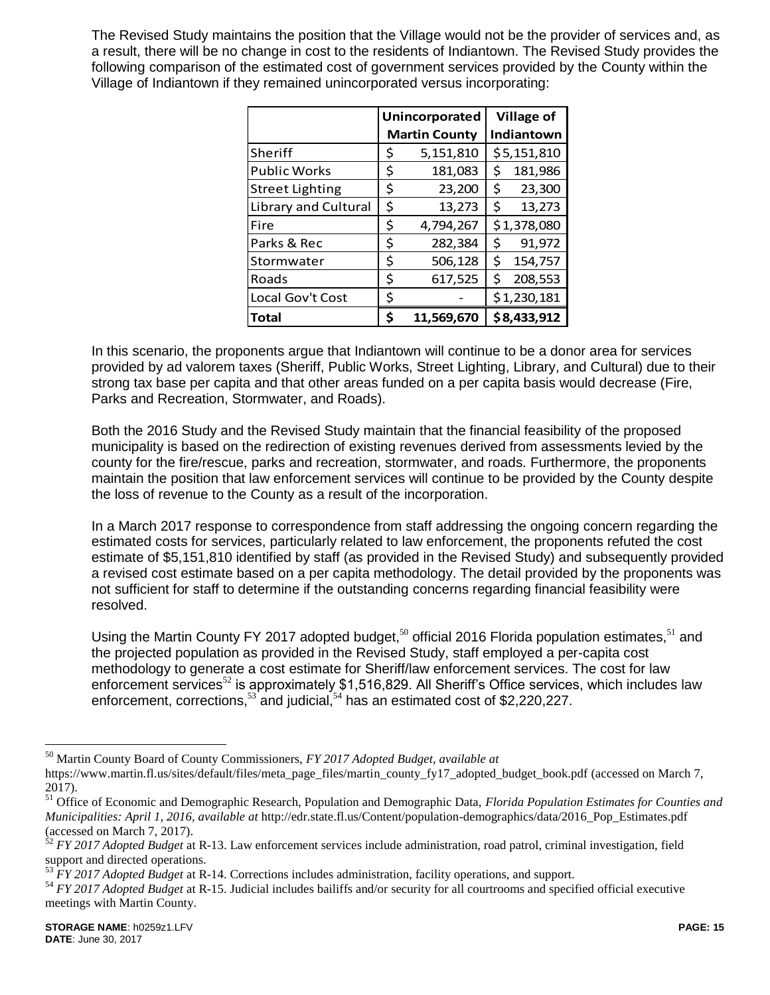The Revised Study maintains the position that the Village would not be the provider of services and, as a result, there will be no change in cost to the residents of Indiantown. The Revised Study provides the following comparison of the estimated cost of government services provided by the County within the Village of Indiantown if they remained unincorporated versus incorporating:

|                        | Unincorporated |                      |             | <b>Village of</b> |  |  |
|------------------------|----------------|----------------------|-------------|-------------------|--|--|
|                        |                | <b>Martin County</b> |             | Indiantown        |  |  |
| Sheriff                | \$             | 5,151,810            |             | \$5,151,810       |  |  |
| <b>Public Works</b>    | \$             | 181,083              | Ś           | 181,986           |  |  |
| <b>Street Lighting</b> | \$             | 23,200               | \$          | 23,300            |  |  |
| Library and Cultural   | \$             | 13,273               | \$          | 13,273            |  |  |
| Fire                   | \$             | 4,794,267            | \$1,378,080 |                   |  |  |
| Parks & Rec            | \$             | 282,384              | \$          | 91,972            |  |  |
| Stormwater             | \$             | 506,128              | \$          | 154,757           |  |  |
| Roads                  | \$             | 617,525              | Ś           | 208,553           |  |  |
| Local Gov't Cost       | \$             |                      |             | \$1,230,181       |  |  |
| <b>Total</b>           | Ś              | 11,569,670           |             | \$8,433,912       |  |  |

In this scenario, the proponents argue that Indiantown will continue to be a donor area for services provided by ad valorem taxes (Sheriff, Public Works, Street Lighting, Library, and Cultural) due to their strong tax base per capita and that other areas funded on a per capita basis would decrease (Fire, Parks and Recreation, Stormwater, and Roads).

Both the 2016 Study and the Revised Study maintain that the financial feasibility of the proposed municipality is based on the redirection of existing revenues derived from assessments levied by the county for the fire/rescue, parks and recreation, stormwater, and roads. Furthermore, the proponents maintain the position that law enforcement services will continue to be provided by the County despite the loss of revenue to the County as a result of the incorporation.

In a March 2017 response to correspondence from staff addressing the ongoing concern regarding the estimated costs for services, particularly related to law enforcement, the proponents refuted the cost estimate of \$5,151,810 identified by staff (as provided in the Revised Study) and subsequently provided a revised cost estimate based on a per capita methodology. The detail provided by the proponents was not sufficient for staff to determine if the outstanding concerns regarding financial feasibility were resolved.

Using the Martin County FY 2017 adopted budget,<sup>50</sup> official 2016 Florida population estimates,<sup>51</sup> and the projected population as provided in the Revised Study, staff employed a per-capita cost methodology to generate a cost estimate for Sheriff/law enforcement services. The cost for law enforcement services<sup>52</sup> is approximately \$1,516,829. All Sheriff's Office services, which includes law enforcement, corrections, $^{53}$  and judicial, $^{54}$  has an estimated cost of \$2,220,227.

<sup>50</sup> Martin County Board of County Commissioners, *FY 2017 Adopted Budget, available at*

https://www.martin.fl.us/sites/default/files/meta\_page\_files/martin\_county\_fy17\_adopted\_budget\_book.pdf (accessed on March 7, 2017).

<sup>51</sup> Office of Economic and Demographic Research, Population and Demographic Data, *Florida Population Estimates for Counties and Municipalities: April 1, 2016, available at http://edr.state.fl.us/Content/population-demographics/data/2016\_Pop\_Estimates.pdf* (accessed on March 7, 2017).

<sup>52</sup> *FY 2017 Adopted Budget* at R-13. Law enforcement services include administration, road patrol, criminal investigation, field support and directed operations.

<sup>53</sup> *FY 2017 Adopted Budget* at R-14. Corrections includes administration, facility operations, and support.

<sup>54</sup> *FY 2017 Adopted Budget* at R-15. Judicial includes bailiffs and/or security for all courtrooms and specified official executive meetings with Martin County.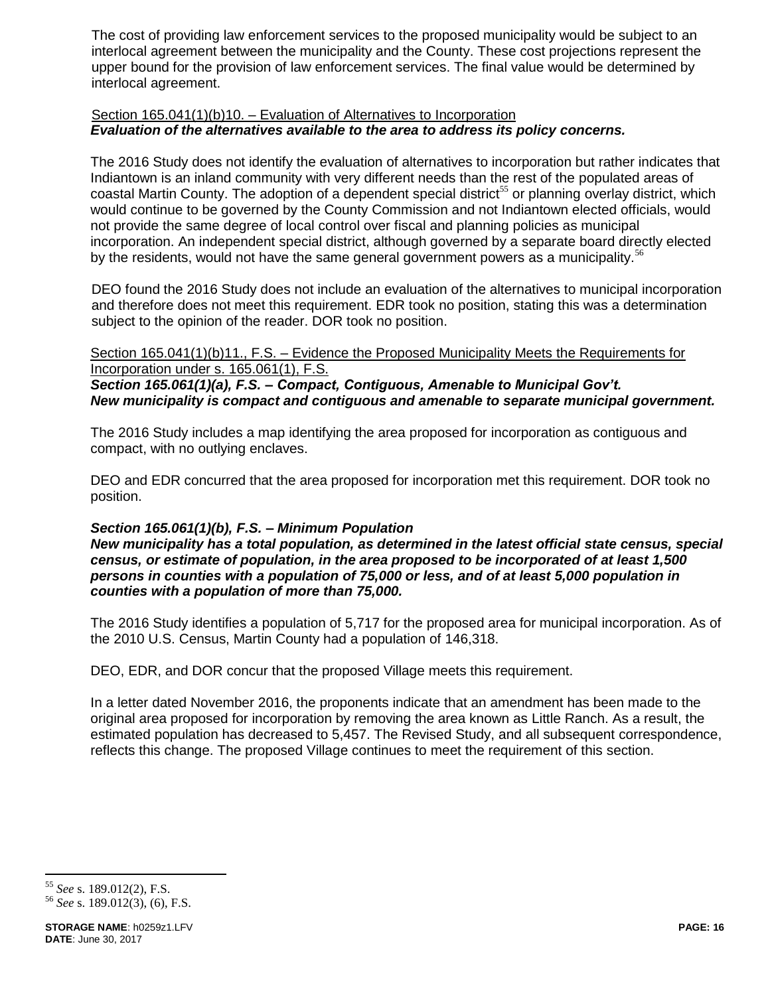The cost of providing law enforcement services to the proposed municipality would be subject to an interlocal agreement between the municipality and the County. These cost projections represent the upper bound for the provision of law enforcement services. The final value would be determined by interlocal agreement.

# Section 165.041(1)(b)10. – Evaluation of Alternatives to Incorporation *Evaluation of the alternatives available to the area to address its policy concerns.*

The 2016 Study does not identify the evaluation of alternatives to incorporation but rather indicates that Indiantown is an inland community with very different needs than the rest of the populated areas of coastal Martin County. The adoption of a dependent special district<sup>55</sup> or planning overlay district, which would continue to be governed by the County Commission and not Indiantown elected officials, would not provide the same degree of local control over fiscal and planning policies as municipal incorporation. An independent special district, although governed by a separate board directly elected by the residents, would not have the same general government powers as a municipality.<sup>56</sup>

DEO found the 2016 Study does not include an evaluation of the alternatives to municipal incorporation and therefore does not meet this requirement. EDR took no position, stating this was a determination subject to the opinion of the reader. DOR took no position.

Section 165.041(1)(b)11., F.S. – Evidence the Proposed Municipality Meets the Requirements for Incorporation under s. 165.061(1), F.S.

*Section 165.061(1)(a), F.S. – Compact, Contiguous, Amenable to Municipal Gov't. New municipality is compact and contiguous and amenable to separate municipal government.*

The 2016 Study includes a map identifying the area proposed for incorporation as contiguous and compact, with no outlying enclaves.

DEO and EDR concurred that the area proposed for incorporation met this requirement. DOR took no position.

# *Section 165.061(1)(b), F.S. – Minimum Population*

*New municipality has a total population, as determined in the latest official state census, special census, or estimate of population, in the area proposed to be incorporated of at least 1,500 persons in counties with a population of 75,000 or less, and of at least 5,000 population in counties with a population of more than 75,000.*

The 2016 Study identifies a population of 5,717 for the proposed area for municipal incorporation. As of the 2010 U.S. Census, Martin County had a population of 146,318.

DEO, EDR, and DOR concur that the proposed Village meets this requirement.

In a letter dated November 2016, the proponents indicate that an amendment has been made to the original area proposed for incorporation by removing the area known as Little Ranch. As a result, the estimated population has decreased to 5,457. The Revised Study, and all subsequent correspondence, reflects this change. The proposed Village continues to meet the requirement of this section.

<sup>55</sup> *See* s. 189.012(2), F.S.

<sup>56</sup> *See* s. 189.012(3), (6), F.S.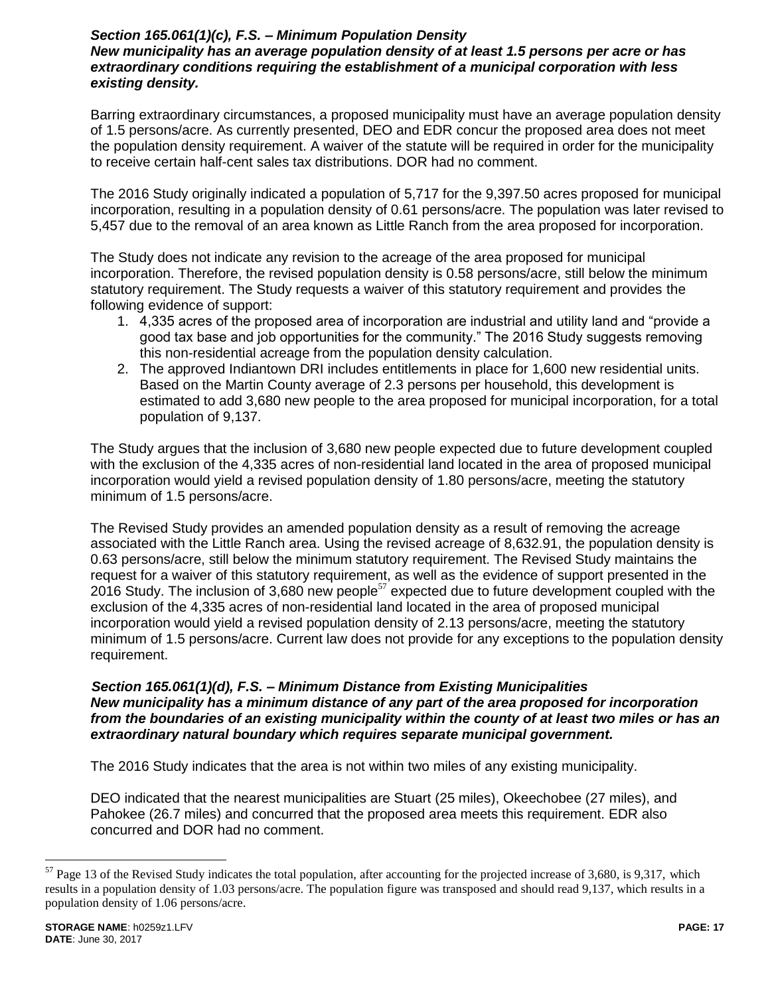### *Section 165.061(1)(c), F.S. – Minimum Population Density New municipality has an average population density of at least 1.5 persons per acre or has extraordinary conditions requiring the establishment of a municipal corporation with less existing density.*

Barring extraordinary circumstances, a proposed municipality must have an average population density of 1.5 persons/acre. As currently presented, DEO and EDR concur the proposed area does not meet the population density requirement. A waiver of the statute will be required in order for the municipality to receive certain half-cent sales tax distributions. DOR had no comment.

The 2016 Study originally indicated a population of 5,717 for the 9,397.50 acres proposed for municipal incorporation, resulting in a population density of 0.61 persons/acre. The population was later revised to 5,457 due to the removal of an area known as Little Ranch from the area proposed for incorporation.

The Study does not indicate any revision to the acreage of the area proposed for municipal incorporation. Therefore, the revised population density is 0.58 persons/acre, still below the minimum statutory requirement. The Study requests a waiver of this statutory requirement and provides the following evidence of support:

- 1. 4,335 acres of the proposed area of incorporation are industrial and utility land and "provide a good tax base and job opportunities for the community." The 2016 Study suggests removing this non-residential acreage from the population density calculation.
- 2. The approved Indiantown DRI includes entitlements in place for 1,600 new residential units. Based on the Martin County average of 2.3 persons per household, this development is estimated to add 3,680 new people to the area proposed for municipal incorporation, for a total population of 9,137.

The Study argues that the inclusion of 3,680 new people expected due to future development coupled with the exclusion of the 4,335 acres of non-residential land located in the area of proposed municipal incorporation would yield a revised population density of 1.80 persons/acre, meeting the statutory minimum of 1.5 persons/acre.

The Revised Study provides an amended population density as a result of removing the acreage associated with the Little Ranch area. Using the revised acreage of 8,632.91, the population density is 0.63 persons/acre, still below the minimum statutory requirement. The Revised Study maintains the request for a waiver of this statutory requirement, as well as the evidence of support presented in the 2016 Study. The inclusion of 3,680 new people<sup>57</sup> expected due to future development coupled with the exclusion of the 4,335 acres of non-residential land located in the area of proposed municipal incorporation would yield a revised population density of 2.13 persons/acre, meeting the statutory minimum of 1.5 persons/acre. Current law does not provide for any exceptions to the population density requirement.

### *Section 165.061(1)(d), F.S. – Minimum Distance from Existing Municipalities New municipality has a minimum distance of any part of the area proposed for incorporation from the boundaries of an existing municipality within the county of at least two miles or has an extraordinary natural boundary which requires separate municipal government.*

The 2016 Study indicates that the area is not within two miles of any existing municipality.

DEO indicated that the nearest municipalities are Stuart (25 miles), Okeechobee (27 miles), and Pahokee (26.7 miles) and concurred that the proposed area meets this requirement. EDR also concurred and DOR had no comment.

 $57$  Page 13 of the Revised Study indicates the total population, after accounting for the projected increase of 3,680, is 9,317, which results in a population density of 1.03 persons/acre. The population figure was transposed and should read 9,137, which results in a population density of 1.06 persons/acre.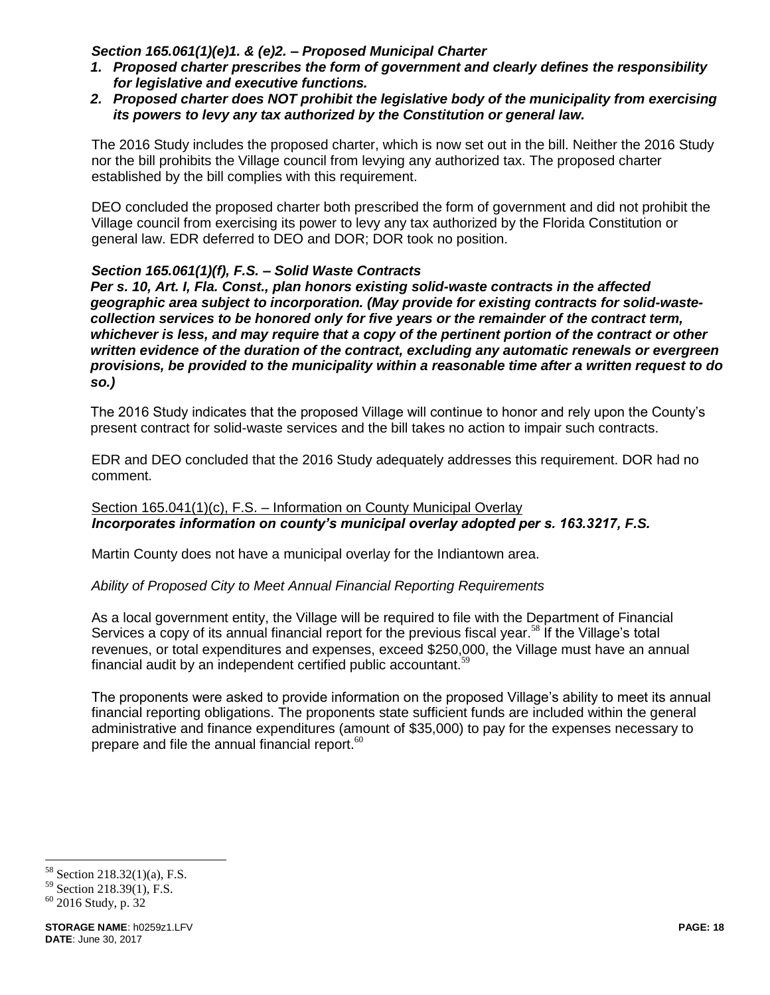### *Section 165.061(1)(e)1. & (e)2. – Proposed Municipal Charter*

- *1. Proposed charter prescribes the form of government and clearly defines the responsibility for legislative and executive functions.*
- *2. Proposed charter does NOT prohibit the legislative body of the municipality from exercising its powers to levy any tax authorized by the Constitution or general law.*

The 2016 Study includes the proposed charter, which is now set out in the bill. Neither the 2016 Study nor the bill prohibits the Village council from levying any authorized tax. The proposed charter established by the bill complies with this requirement.

DEO concluded the proposed charter both prescribed the form of government and did not prohibit the Village council from exercising its power to levy any tax authorized by the Florida Constitution or general law. EDR deferred to DEO and DOR; DOR took no position.

# *Section 165.061(1)(f), F.S. – Solid Waste Contracts*

*Per s. 10, Art. I, Fla. Const., plan honors existing solid-waste contracts in the affected geographic area subject to incorporation. (May provide for existing contracts for solid-wastecollection services to be honored only for five years or the remainder of the contract term, whichever is less, and may require that a copy of the pertinent portion of the contract or other written evidence of the duration of the contract, excluding any automatic renewals or evergreen provisions, be provided to the municipality within a reasonable time after a written request to do so.)*

The 2016 Study indicates that the proposed Village will continue to honor and rely upon the County's present contract for solid-waste services and the bill takes no action to impair such contracts.

EDR and DEO concluded that the 2016 Study adequately addresses this requirement. DOR had no comment.

# Section 165.041(1)(c), F.S. – Information on County Municipal Overlay *Incorporates information on county's municipal overlay adopted per s. 163.3217, F.S.*

Martin County does not have a municipal overlay for the Indiantown area.

#### *Ability of Proposed City to Meet Annual Financial Reporting Requirements*

As a local government entity, the Village will be required to file with the Department of Financial Services a copy of its annual financial report for the previous fiscal year.<sup>58</sup> If the Village's total revenues, or total expenditures and expenses, exceed \$250,000, the Village must have an annual financial audit by an independent certified public accountant.<sup>59</sup>

The proponents were asked to provide information on the proposed Village's ability to meet its annual financial reporting obligations. The proponents state sufficient funds are included within the general administrative and finance expenditures (amount of \$35,000) to pay for the expenses necessary to prepare and file the annual financial report.<sup>60</sup>

<sup>58</sup> Section  $218.32(1)(a)$ , F.S.

<sup>59</sup> Section 218.39(1), F.S.

<sup>60</sup> 2016 Study, p. 32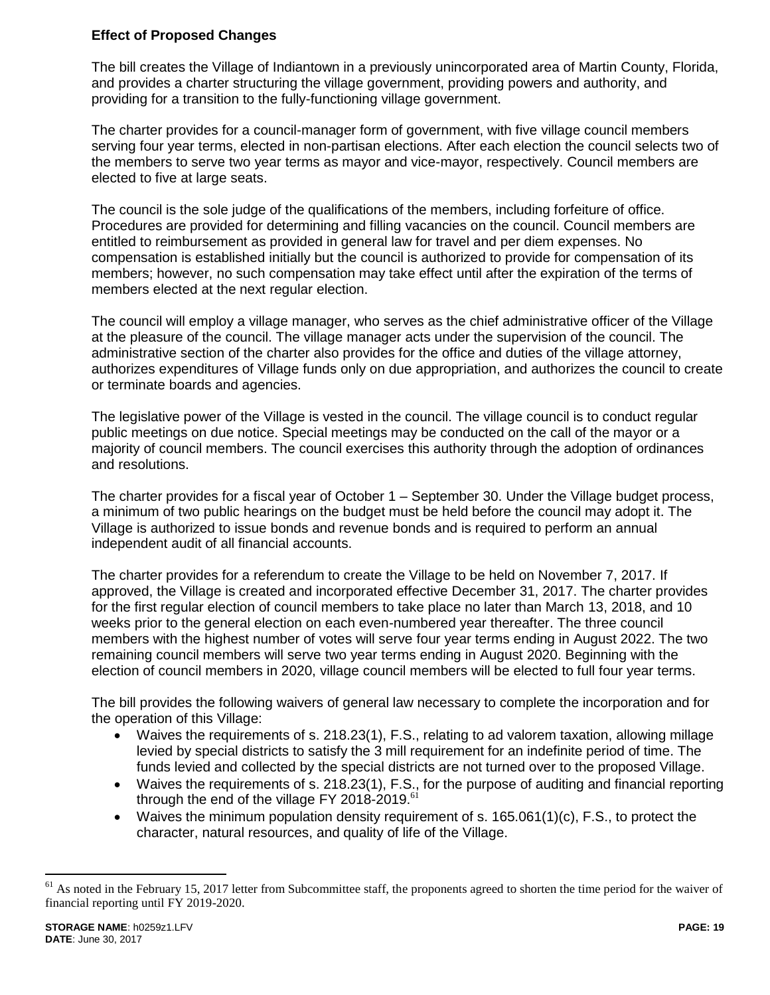# **Effect of Proposed Changes**

The bill creates the Village of Indiantown in a previously unincorporated area of Martin County, Florida, and provides a charter structuring the village government, providing powers and authority, and providing for a transition to the fully-functioning village government.

The charter provides for a council-manager form of government, with five village council members serving four year terms, elected in non-partisan elections. After each election the council selects two of the members to serve two year terms as mayor and vice-mayor, respectively. Council members are elected to five at large seats.

The council is the sole judge of the qualifications of the members, including forfeiture of office. Procedures are provided for determining and filling vacancies on the council. Council members are entitled to reimbursement as provided in general law for travel and per diem expenses. No compensation is established initially but the council is authorized to provide for compensation of its members; however, no such compensation may take effect until after the expiration of the terms of members elected at the next regular election.

The council will employ a village manager, who serves as the chief administrative officer of the Village at the pleasure of the council. The village manager acts under the supervision of the council. The administrative section of the charter also provides for the office and duties of the village attorney, authorizes expenditures of Village funds only on due appropriation, and authorizes the council to create or terminate boards and agencies.

The legislative power of the Village is vested in the council. The village council is to conduct regular public meetings on due notice. Special meetings may be conducted on the call of the mayor or a majority of council members. The council exercises this authority through the adoption of ordinances and resolutions.

The charter provides for a fiscal year of October 1 – September 30. Under the Village budget process, a minimum of two public hearings on the budget must be held before the council may adopt it. The Village is authorized to issue bonds and revenue bonds and is required to perform an annual independent audit of all financial accounts.

The charter provides for a referendum to create the Village to be held on November 7, 2017. If approved, the Village is created and incorporated effective December 31, 2017. The charter provides for the first regular election of council members to take place no later than March 13, 2018, and 10 weeks prior to the general election on each even-numbered year thereafter. The three council members with the highest number of votes will serve four year terms ending in August 2022. The two remaining council members will serve two year terms ending in August 2020. Beginning with the election of council members in 2020, village council members will be elected to full four year terms.

The bill provides the following waivers of general law necessary to complete the incorporation and for the operation of this Village:

- Waives the requirements of s. 218.23(1), F.S., relating to ad valorem taxation, allowing millage levied by special districts to satisfy the 3 mill requirement for an indefinite period of time. The funds levied and collected by the special districts are not turned over to the proposed Village.
- Waives the requirements of s. 218.23(1), F.S., for the purpose of auditing and financial reporting through the end of the village FY 2018-2019.<sup>61</sup>
- Waives the minimum population density requirement of s.  $165.061(1)(c)$ , F.S., to protect the character, natural resources, and quality of life of the Village.

 $<sup>61</sup>$  As noted in the February 15, 2017 letter from Subcommittee staff, the proponents agreed to shorten the time period for the waiver of</sup> financial reporting until FY 2019-2020.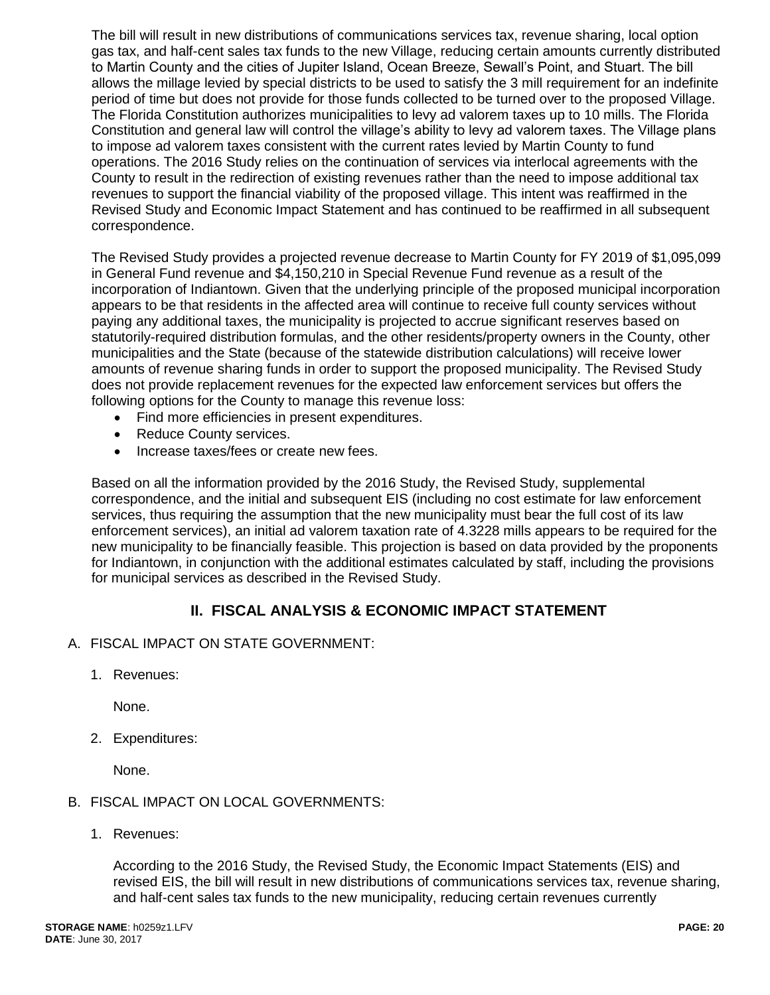The bill will result in new distributions of communications services tax, revenue sharing, local option gas tax, and half-cent sales tax funds to the new Village, reducing certain amounts currently distributed to Martin County and the cities of Jupiter Island, Ocean Breeze, Sewall's Point, and Stuart. The bill allows the millage levied by special districts to be used to satisfy the 3 mill requirement for an indefinite period of time but does not provide for those funds collected to be turned over to the proposed Village. The Florida Constitution authorizes municipalities to levy ad valorem taxes up to 10 mills. The Florida Constitution and general law will control the village's ability to levy ad valorem taxes. The Village plans to impose ad valorem taxes consistent with the current rates levied by Martin County to fund operations. The 2016 Study relies on the continuation of services via interlocal agreements with the County to result in the redirection of existing revenues rather than the need to impose additional tax revenues to support the financial viability of the proposed village. This intent was reaffirmed in the Revised Study and Economic Impact Statement and has continued to be reaffirmed in all subsequent correspondence.

The Revised Study provides a projected revenue decrease to Martin County for FY 2019 of \$1,095,099 in General Fund revenue and \$4,150,210 in Special Revenue Fund revenue as a result of the incorporation of Indiantown. Given that the underlying principle of the proposed municipal incorporation appears to be that residents in the affected area will continue to receive full county services without paying any additional taxes, the municipality is projected to accrue significant reserves based on statutorily-required distribution formulas, and the other residents/property owners in the County, other municipalities and the State (because of the statewide distribution calculations) will receive lower amounts of revenue sharing funds in order to support the proposed municipality. The Revised Study does not provide replacement revenues for the expected law enforcement services but offers the following options for the County to manage this revenue loss:

- Find more efficiencies in present expenditures.
- Reduce County services.
- Increase taxes/fees or create new fees.

Based on all the information provided by the 2016 Study, the Revised Study, supplemental correspondence, and the initial and subsequent EIS (including no cost estimate for law enforcement services, thus requiring the assumption that the new municipality must bear the full cost of its law enforcement services), an initial ad valorem taxation rate of 4.3228 mills appears to be required for the new municipality to be financially feasible. This projection is based on data provided by the proponents for Indiantown, in conjunction with the additional estimates calculated by staff, including the provisions for municipal services as described in the Revised Study.

# **II. FISCAL ANALYSIS & ECONOMIC IMPACT STATEMENT**

- A. FISCAL IMPACT ON STATE GOVERNMENT:
	- 1. Revenues:

None.

2. Expenditures:

None.

# B. FISCAL IMPACT ON LOCAL GOVERNMENTS:

1. Revenues:

According to the 2016 Study, the Revised Study, the Economic Impact Statements (EIS) and revised EIS, the bill will result in new distributions of communications services tax, revenue sharing, and half-cent sales tax funds to the new municipality, reducing certain revenues currently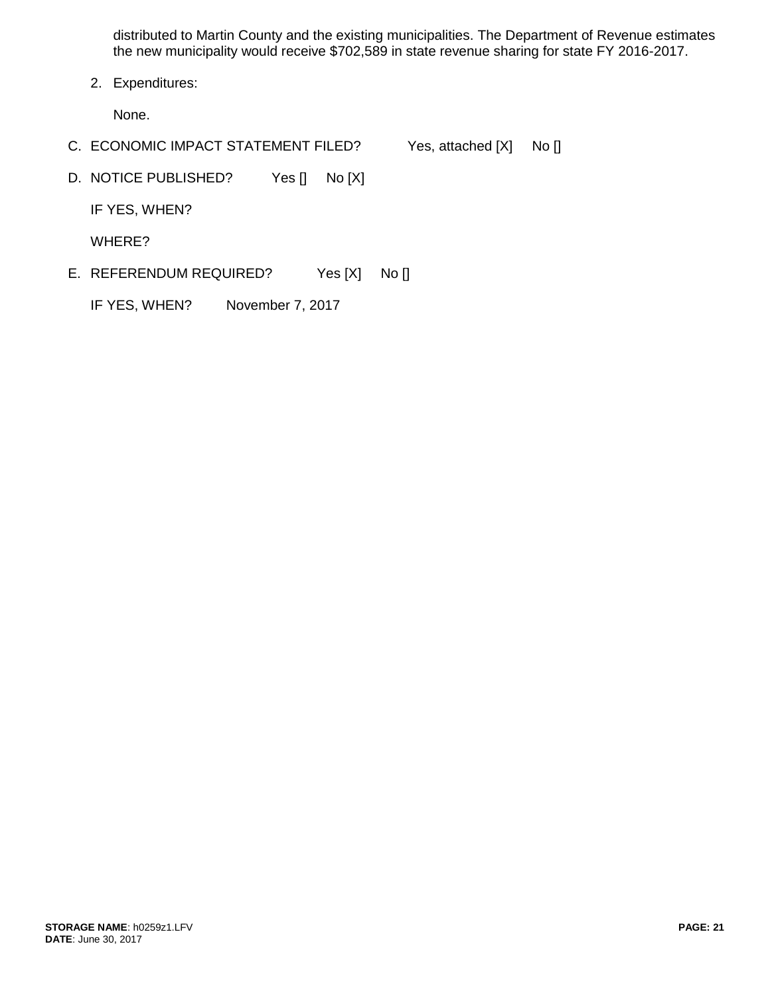distributed to Martin County and the existing municipalities. The Department of Revenue estimates the new municipality would receive \$702,589 in state revenue sharing for state FY 2016-2017.

2. Expenditures:

None.

- C. ECONOMIC IMPACT STATEMENT FILED? Yes, attached [X] No []
- D. NOTICE PUBLISHED? Yes [] No [X]

IF YES, WHEN?

WHERE?

E. REFERENDUM REQUIRED? Yes [X] No []

IF YES, WHEN? November 7, 2017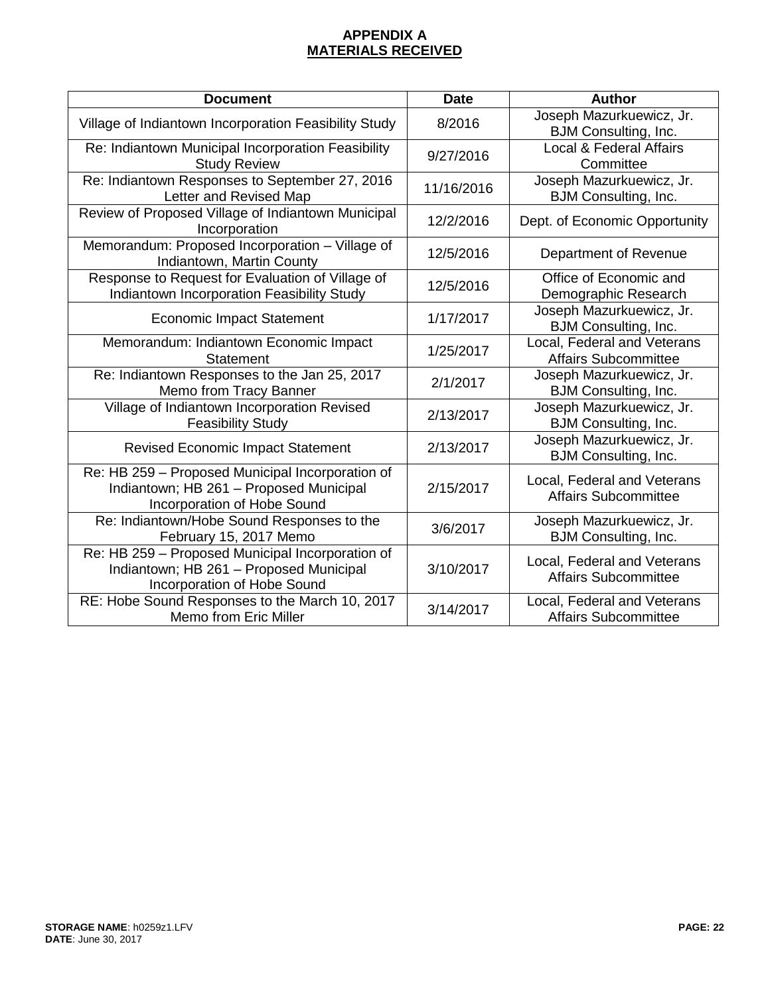# **APPENDIX A MATERIALS RECEIVED**

| <b>Document</b>                                                                                                            | <b>Date</b> | <b>Author</b>                                              |
|----------------------------------------------------------------------------------------------------------------------------|-------------|------------------------------------------------------------|
| Village of Indiantown Incorporation Feasibility Study                                                                      | 8/2016      | Joseph Mazurkuewicz, Jr.<br><b>BJM Consulting, Inc.</b>    |
| Re: Indiantown Municipal Incorporation Feasibility<br><b>Study Review</b>                                                  | 9/27/2016   | Local & Federal Affairs<br>Committee                       |
| Re: Indiantown Responses to September 27, 2016<br>Letter and Revised Map                                                   | 11/16/2016  | Joseph Mazurkuewicz, Jr.<br><b>BJM Consulting, Inc.</b>    |
| Review of Proposed Village of Indiantown Municipal<br>Incorporation                                                        | 12/2/2016   | Dept. of Economic Opportunity                              |
| Memorandum: Proposed Incorporation - Village of<br>Indiantown, Martin County                                               | 12/5/2016   | Department of Revenue                                      |
| Response to Request for Evaluation of Village of<br>Indiantown Incorporation Feasibility Study                             | 12/5/2016   | Office of Economic and<br>Demographic Research             |
| <b>Economic Impact Statement</b>                                                                                           | 1/17/2017   | Joseph Mazurkuewicz, Jr.<br><b>BJM Consulting, Inc.</b>    |
| Memorandum: Indiantown Economic Impact<br><b>Statement</b>                                                                 | 1/25/2017   | Local, Federal and Veterans<br><b>Affairs Subcommittee</b> |
| Re: Indiantown Responses to the Jan 25, 2017<br>Memo from Tracy Banner                                                     | 2/1/2017    | Joseph Mazurkuewicz, Jr.<br><b>BJM Consulting, Inc.</b>    |
| Village of Indiantown Incorporation Revised<br><b>Feasibility Study</b>                                                    | 2/13/2017   | Joseph Mazurkuewicz, Jr.<br><b>BJM Consulting, Inc.</b>    |
| <b>Revised Economic Impact Statement</b>                                                                                   | 2/13/2017   | Joseph Mazurkuewicz, Jr.<br><b>BJM Consulting, Inc.</b>    |
| Re: HB 259 - Proposed Municipal Incorporation of<br>Indiantown; HB 261 - Proposed Municipal<br>Incorporation of Hobe Sound | 2/15/2017   | Local, Federal and Veterans<br><b>Affairs Subcommittee</b> |
| Re: Indiantown/Hobe Sound Responses to the<br>February 15, 2017 Memo                                                       | 3/6/2017    | Joseph Mazurkuewicz, Jr.<br><b>BJM Consulting, Inc.</b>    |
| Re: HB 259 - Proposed Municipal Incorporation of<br>Indiantown; HB 261 - Proposed Municipal<br>Incorporation of Hobe Sound | 3/10/2017   | Local, Federal and Veterans<br><b>Affairs Subcommittee</b> |
| RE: Hobe Sound Responses to the March 10, 2017<br>Memo from Eric Miller                                                    | 3/14/2017   | Local, Federal and Veterans<br><b>Affairs Subcommittee</b> |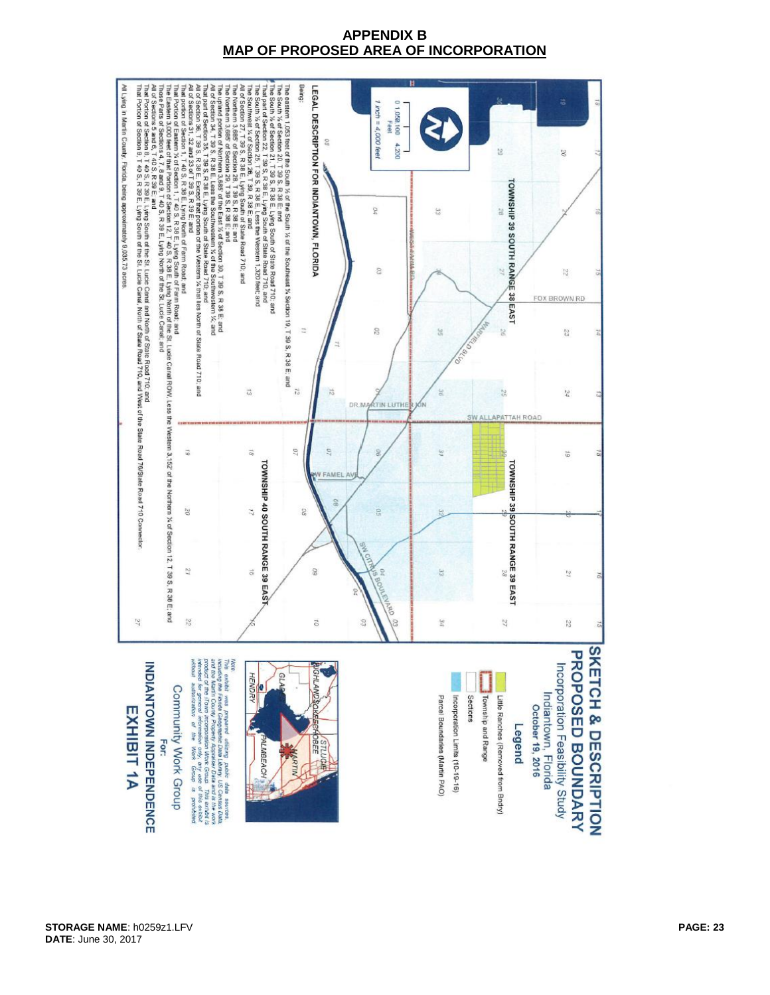# **APPENDIX B MAP OF PROPOSED AREA OF INCORPORATION**